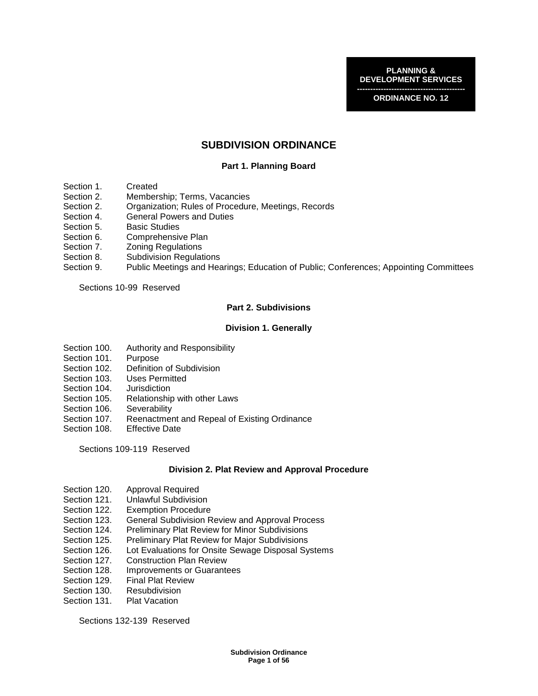**PLANNING & DEVELOPMENT SERVICES** 

**----------------------------------------- ORDINANCE NO. 12** 

# **SUBDIVISION ORDINANCE**

## **Part 1. Planning Board**

- Section 1. Created
- Section 2. Membership; Terms, Vacancies
- Section 2. Organization; Rules of Procedure, Meetings, Records
- Section 4. General Powers and Duties
- Section 5. Basic Studies
- Section 6. Comprehensive Plan
- Section 7. Zoning Regulations
- Section 8. Subdivision Regulations
- Section 9. Public Meetings and Hearings; Education of Public; Conferences; Appointing Committees

Sections 10-99 Reserved

## **Part 2. Subdivisions**

#### **Division 1. Generally**

- Section 100. Authority and Responsibility<br>Section 101. Purpose
- Section 101.
- Section 102. Definition of Subdivision
- Section 103. Uses Permitted
- Section 104. Jurisdiction
- Section 105. Relationship with other Laws
- Section 106. Severability
- Section 107. Reenactment and Repeal of Existing Ordinance
- Section 108. Effective Date

Sections 109-119 Reserved

#### **Division 2. Plat Review and Approval Procedure**

- Section 120. Approval Required
- Section 121. Unlawful Subdivision<br>Section 122. Exemption Procedure
- **Exemption Procedure**
- Section 123. General Subdivision Review and Approval Process
- Section 124. Preliminary Plat Review for Minor Subdivisions
- Section 125. Preliminary Plat Review for Major Subdivisions
- Section 126. Lot Evaluations for Onsite Sewage Disposal Systems
- Section 127. Construction Plan Review<br>Section 128. Improvements or Guarante
- Improvements or Guarantees
- Section 129. Final Plat Review
- Section 130. Resubdivision
- Section 131. Plat Vacation

Sections 132-139 Reserved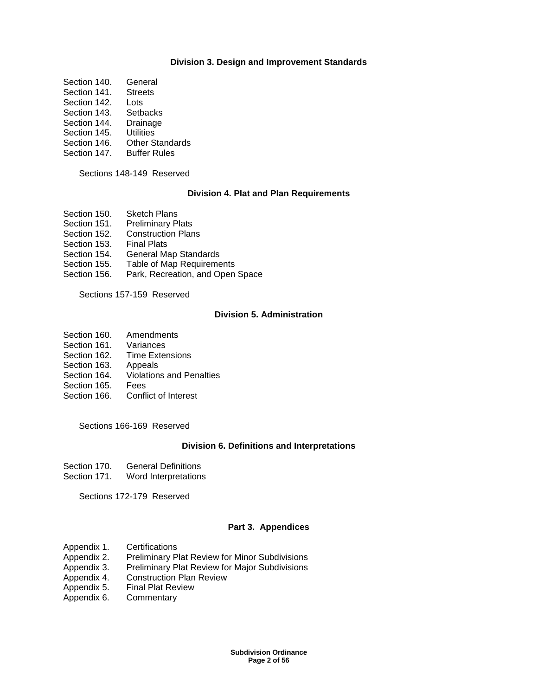### **Division 3. Design and Improvement Standards**

- Section 140 General
- Section 141. Streets
- Section 142. Lots
- Section 143. Setbacks<br>Section 144. Drainage
- Section 144.
- Section 145. Utilities
- Section 146. Other Standards
- Section 147. Buffer Rules

Sections 148-149 Reserved

## **Division 4. Plat and Plan Requirements**

- Section 150. Sketch Plans<br>Section 151. Preliminary P
- **Preliminary Plats**
- Section 152. Construction Plans
- Section 153. Final Plats
- Section 154. General Map Standards
- Section 155. Table of Map Requirements
- Section 156. Park, Recreation, and Open Space

Sections 157-159 Reserved

## **Division 5. Administration**

- Section 160. Amendments
- Section 161. Variances
- Section 162. Time Extensions
- Section 163. Appeals
- Section 164. Violations and Penalties
- Section 165. Fees
- Section 166. Conflict of Interest

Sections 166-169 Reserved

#### **Division 6. Definitions and Interpretations**

- Section 170. General Definitions
- Section 171. Word Interpretations

Sections 172-179 Reserved

## **Part 3. Appendices**

- Appendix 1. Certifications
- Appendix 2. Preliminary Plat Review for Minor Subdivisions
- Appendix 3. Preliminary Plat Review for Major Subdivisions
- Appendix 4. Construction Plan Review
- Appendix 5. Final Plat Review
- Appendix 6. Commentary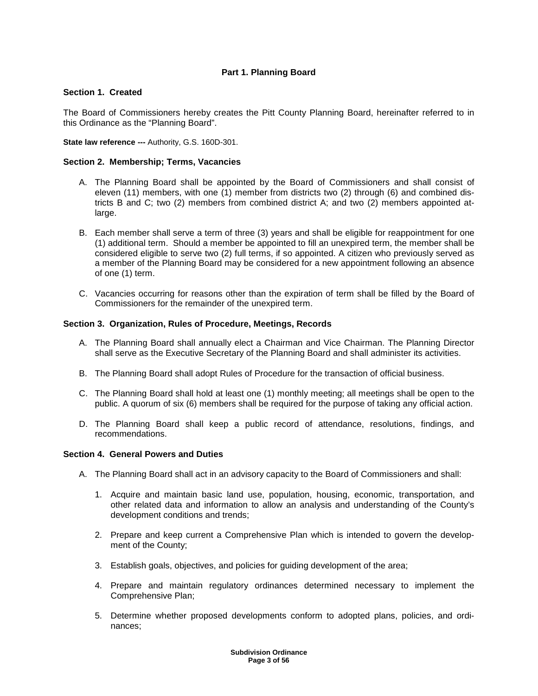# **Part 1. Planning Board**

## **Section 1. Created**

The Board of Commissioners hereby creates the Pitt County Planning Board, hereinafter referred to in this Ordinance as the "Planning Board".

**State law reference ---** Authority, G.S. 160D-301.

## **Section 2. Membership; Terms, Vacancies**

- A. The Planning Board shall be appointed by the Board of Commissioners and shall consist of eleven (11) members, with one (1) member from districts two (2) through (6) and combined districts B and C; two (2) members from combined district A; and two (2) members appointed atlarge.
- B. Each member shall serve a term of three (3) years and shall be eligible for reappointment for one (1) additional term. Should a member be appointed to fill an unexpired term, the member shall be considered eligible to serve two (2) full terms, if so appointed. A citizen who previously served as a member of the Planning Board may be considered for a new appointment following an absence of one (1) term.
- C. Vacancies occurring for reasons other than the expiration of term shall be filled by the Board of Commissioners for the remainder of the unexpired term.

## **Section 3. Organization, Rules of Procedure, Meetings, Records**

- A. The Planning Board shall annually elect a Chairman and Vice Chairman. The Planning Director shall serve as the Executive Secretary of the Planning Board and shall administer its activities.
- B. The Planning Board shall adopt Rules of Procedure for the transaction of official business.
- C. The Planning Board shall hold at least one (1) monthly meeting; all meetings shall be open to the public. A quorum of six (6) members shall be required for the purpose of taking any official action.
- D. The Planning Board shall keep a public record of attendance, resolutions, findings, and recommendations.

## **Section 4. General Powers and Duties**

- A. The Planning Board shall act in an advisory capacity to the Board of Commissioners and shall:
	- 1. Acquire and maintain basic land use, population, housing, economic, transportation, and other related data and information to allow an analysis and understanding of the County's development conditions and trends;
	- 2. Prepare and keep current a Comprehensive Plan which is intended to govern the development of the County;
	- 3. Establish goals, objectives, and policies for guiding development of the area;
	- 4. Prepare and maintain regulatory ordinances determined necessary to implement the Comprehensive Plan;
	- 5. Determine whether proposed developments conform to adopted plans, policies, and ordinances;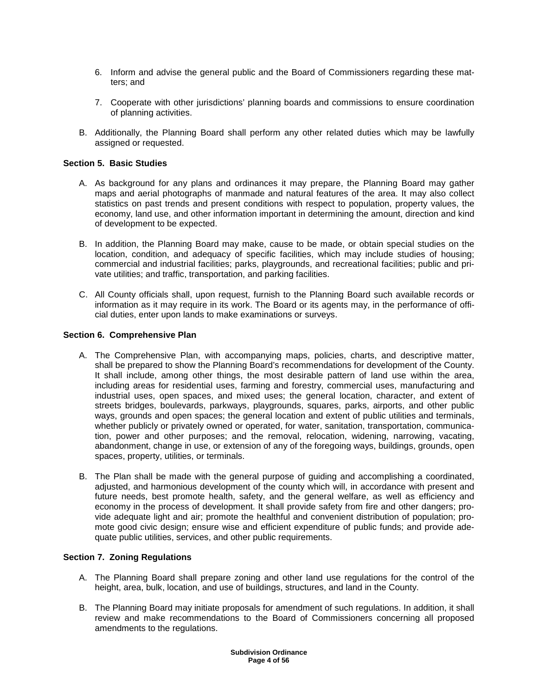- 6. Inform and advise the general public and the Board of Commissioners regarding these matters; and
- 7. Cooperate with other jurisdictions' planning boards and commissions to ensure coordination of planning activities.
- B. Additionally, the Planning Board shall perform any other related duties which may be lawfully assigned or requested.

### **Section 5. Basic Studies**

- A. As background for any plans and ordinances it may prepare, the Planning Board may gather maps and aerial photographs of manmade and natural features of the area. It may also collect statistics on past trends and present conditions with respect to population, property values, the economy, land use, and other information important in determining the amount, direction and kind of development to be expected.
- B. In addition, the Planning Board may make, cause to be made, or obtain special studies on the location, condition, and adequacy of specific facilities, which may include studies of housing; commercial and industrial facilities; parks, playgrounds, and recreational facilities; public and private utilities; and traffic, transportation, and parking facilities.
- C. All County officials shall, upon request, furnish to the Planning Board such available records or information as it may require in its work. The Board or its agents may, in the performance of official duties, enter upon lands to make examinations or surveys.

#### **Section 6. Comprehensive Plan**

- A. The Comprehensive Plan, with accompanying maps, policies, charts, and descriptive matter, shall be prepared to show the Planning Board's recommendations for development of the County. It shall include, among other things, the most desirable pattern of land use within the area, including areas for residential uses, farming and forestry, commercial uses, manufacturing and industrial uses, open spaces, and mixed uses; the general location, character, and extent of streets bridges, boulevards, parkways, playgrounds, squares, parks, airports, and other public ways, grounds and open spaces; the general location and extent of public utilities and terminals, whether publicly or privately owned or operated, for water, sanitation, transportation, communication, power and other purposes; and the removal, relocation, widening, narrowing, vacating, abandonment, change in use, or extension of any of the foregoing ways, buildings, grounds, open spaces, property, utilities, or terminals.
- B. The Plan shall be made with the general purpose of guiding and accomplishing a coordinated, adjusted, and harmonious development of the county which will, in accordance with present and future needs, best promote health, safety, and the general welfare, as well as efficiency and economy in the process of development. It shall provide safety from fire and other dangers; provide adequate light and air; promote the healthful and convenient distribution of population; promote good civic design; ensure wise and efficient expenditure of public funds; and provide adequate public utilities, services, and other public requirements.

## **Section 7. Zoning Regulations**

- A. The Planning Board shall prepare zoning and other land use regulations for the control of the height, area, bulk, location, and use of buildings, structures, and land in the County.
- B. The Planning Board may initiate proposals for amendment of such regulations. In addition, it shall review and make recommendations to the Board of Commissioners concerning all proposed amendments to the regulations.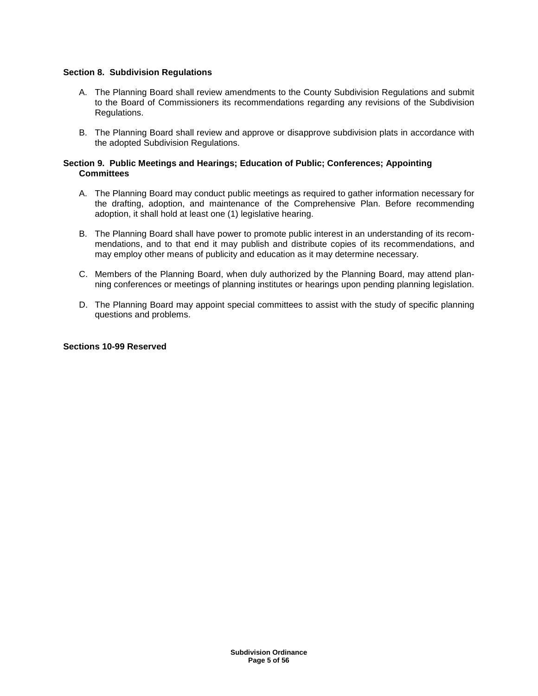## **Section 8. Subdivision Regulations**

- A. The Planning Board shall review amendments to the County Subdivision Regulations and submit to the Board of Commissioners its recommendations regarding any revisions of the Subdivision Regulations.
- B. The Planning Board shall review and approve or disapprove subdivision plats in accordance with the adopted Subdivision Regulations.

### **Section 9. Public Meetings and Hearings; Education of Public; Conferences; Appointing Committees**

- A. The Planning Board may conduct public meetings as required to gather information necessary for the drafting, adoption, and maintenance of the Comprehensive Plan. Before recommending adoption, it shall hold at least one (1) legislative hearing.
- B. The Planning Board shall have power to promote public interest in an understanding of its recommendations, and to that end it may publish and distribute copies of its recommendations, and may employ other means of publicity and education as it may determine necessary.
- C. Members of the Planning Board, when duly authorized by the Planning Board, may attend planning conferences or meetings of planning institutes or hearings upon pending planning legislation.
- D. The Planning Board may appoint special committees to assist with the study of specific planning questions and problems.

### **Sections 10-99 Reserved**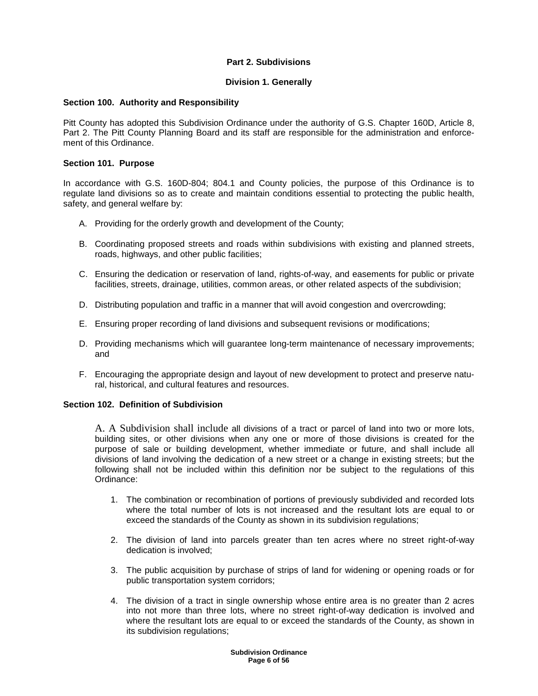# **Part 2. Subdivisions**

## **Division 1. Generally**

## **Section 100. Authority and Responsibility**

Pitt County has adopted this Subdivision Ordinance under the authority of G.S. Chapter 160D, Article 8, Part 2. The Pitt County Planning Board and its staff are responsible for the administration and enforcement of this Ordinance.

#### **Section 101. Purpose**

In accordance with G.S. 160D-804; 804.1 and County policies, the purpose of this Ordinance is to regulate land divisions so as to create and maintain conditions essential to protecting the public health, safety, and general welfare by:

- A. Providing for the orderly growth and development of the County;
- B. Coordinating proposed streets and roads within subdivisions with existing and planned streets, roads, highways, and other public facilities;
- C. Ensuring the dedication or reservation of land, rights-of-way, and easements for public or private facilities, streets, drainage, utilities, common areas, or other related aspects of the subdivision;
- D. Distributing population and traffic in a manner that will avoid congestion and overcrowding;
- E. Ensuring proper recording of land divisions and subsequent revisions or modifications;
- D. Providing mechanisms which will guarantee long-term maintenance of necessary improvements; and
- F. Encouraging the appropriate design and layout of new development to protect and preserve natural, historical, and cultural features and resources.

## **Section 102. Definition of Subdivision**

A. A Subdivision shall include all divisions of a tract or parcel of land into two or more lots, building sites, or other divisions when any one or more of those divisions is created for the purpose of sale or building development, whether immediate or future, and shall include all divisions of land involving the dedication of a new street or a change in existing streets; but the following shall not be included within this definition nor be subject to the regulations of this Ordinance:

- 1. The combination or recombination of portions of previously subdivided and recorded lots where the total number of lots is not increased and the resultant lots are equal to or exceed the standards of the County as shown in its subdivision regulations;
- 2. The division of land into parcels greater than ten acres where no street right-of-way dedication is involved;
- 3. The public acquisition by purchase of strips of land for widening or opening roads or for public transportation system corridors;
- 4. The division of a tract in single ownership whose entire area is no greater than 2 acres into not more than three lots, where no street right-of-way dedication is involved and where the resultant lots are equal to or exceed the standards of the County, as shown in its subdivision regulations;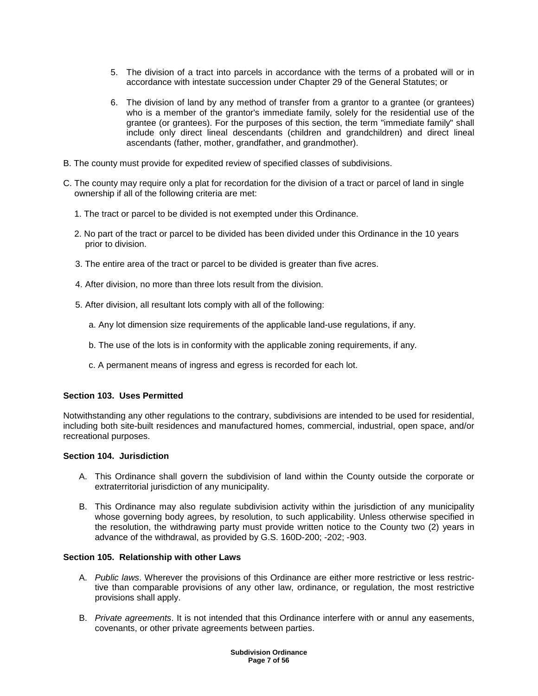- 5. The division of a tract into parcels in accordance with the terms of a probated will or in accordance with intestate succession under Chapter 29 of the General Statutes; or
- 6. The division of land by any method of transfer from a grantor to a grantee (or grantees) who is a member of the grantor's immediate family, solely for the residential use of the grantee (or grantees). For the purposes of this section, the term "immediate family" shall include only direct lineal descendants (children and grandchildren) and direct lineal ascendants (father, mother, grandfather, and grandmother).
- B. The county must provide for expedited review of specified classes of subdivisions.
- C. The county may require only a plat for recordation for the division of a tract or parcel of land in single ownership if all of the following criteria are met:
	- 1. The tract or parcel to be divided is not exempted under this Ordinance.
	- 2. No part of the tract or parcel to be divided has been divided under this Ordinance in the 10 years prior to division.
	- 3. The entire area of the tract or parcel to be divided is greater than five acres.
	- 4. After division, no more than three lots result from the division.
	- 5. After division, all resultant lots comply with all of the following:
		- a. Any lot dimension size requirements of the applicable land-use regulations, if any.
		- b. The use of the lots is in conformity with the applicable zoning requirements, if any.
		- c. A permanent means of ingress and egress is recorded for each lot.

#### **Section 103. Uses Permitted**

Notwithstanding any other regulations to the contrary, subdivisions are intended to be used for residential, including both site-built residences and manufactured homes, commercial, industrial, open space, and/or recreational purposes.

#### **Section 104. Jurisdiction**

- A. This Ordinance shall govern the subdivision of land within the County outside the corporate or extraterritorial jurisdiction of any municipality.
- B. This Ordinance may also regulate subdivision activity within the jurisdiction of any municipality whose governing body agrees, by resolution, to such applicability. Unless otherwise specified in the resolution, the withdrawing party must provide written notice to the County two (2) years in advance of the withdrawal, as provided by G.S. 160D-200; -202; -903.

#### **Section 105. Relationship with other Laws**

- A. Public laws. Wherever the provisions of this Ordinance are either more restrictive or less restrictive than comparable provisions of any other law, ordinance, or regulation, the most restrictive provisions shall apply.
- B. Private agreements. It is not intended that this Ordinance interfere with or annul any easements, covenants, or other private agreements between parties.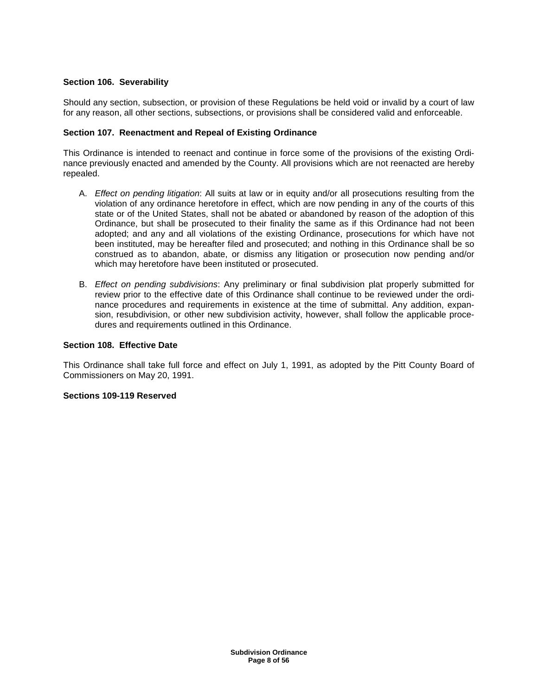# **Section 106. Severability**

Should any section, subsection, or provision of these Regulations be held void or invalid by a court of law for any reason, all other sections, subsections, or provisions shall be considered valid and enforceable.

## **Section 107. Reenactment and Repeal of Existing Ordinance**

This Ordinance is intended to reenact and continue in force some of the provisions of the existing Ordinance previously enacted and amended by the County. All provisions which are not reenacted are hereby repealed.

- A. Effect on pending litigation: All suits at law or in equity and/or all prosecutions resulting from the violation of any ordinance heretofore in effect, which are now pending in any of the courts of this state or of the United States, shall not be abated or abandoned by reason of the adoption of this Ordinance, but shall be prosecuted to their finality the same as if this Ordinance had not been adopted; and any and all violations of the existing Ordinance, prosecutions for which have not been instituted, may be hereafter filed and prosecuted; and nothing in this Ordinance shall be so construed as to abandon, abate, or dismiss any litigation or prosecution now pending and/or which may heretofore have been instituted or prosecuted.
- B. Effect on pending subdivisions: Any preliminary or final subdivision plat properly submitted for review prior to the effective date of this Ordinance shall continue to be reviewed under the ordinance procedures and requirements in existence at the time of submittal. Any addition, expansion, resubdivision, or other new subdivision activity, however, shall follow the applicable procedures and requirements outlined in this Ordinance.

## **Section 108. Effective Date**

This Ordinance shall take full force and effect on July 1, 1991, as adopted by the Pitt County Board of Commissioners on May 20, 1991.

## **Sections 109-119 Reserved**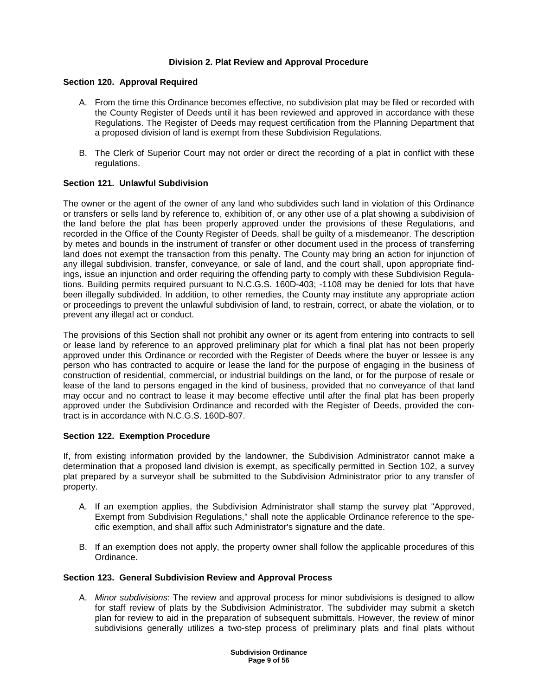## **Division 2. Plat Review and Approval Procedure**

## **Section 120. Approval Required**

- A. From the time this Ordinance becomes effective, no subdivision plat may be filed or recorded with the County Register of Deeds until it has been reviewed and approved in accordance with these Regulations. The Register of Deeds may request certification from the Planning Department that a proposed division of land is exempt from these Subdivision Regulations.
- B. The Clerk of Superior Court may not order or direct the recording of a plat in conflict with these regulations.

## **Section 121. Unlawful Subdivision**

The owner or the agent of the owner of any land who subdivides such land in violation of this Ordinance or transfers or sells land by reference to, exhibition of, or any other use of a plat showing a subdivision of the land before the plat has been properly approved under the provisions of these Regulations, and recorded in the Office of the County Register of Deeds, shall be guilty of a misdemeanor. The description by metes and bounds in the instrument of transfer or other document used in the process of transferring land does not exempt the transaction from this penalty. The County may bring an action for injunction of any illegal subdivision, transfer, conveyance, or sale of land, and the court shall, upon appropriate findings, issue an injunction and order requiring the offending party to comply with these Subdivision Regulations. Building permits required pursuant to N.C.G.S. 160D-403; -1108 may be denied for lots that have been illegally subdivided. In addition, to other remedies, the County may institute any appropriate action or proceedings to prevent the unlawful subdivision of land, to restrain, correct, or abate the violation, or to prevent any illegal act or conduct.

The provisions of this Section shall not prohibit any owner or its agent from entering into contracts to sell or lease land by reference to an approved preliminary plat for which a final plat has not been properly approved under this Ordinance or recorded with the Register of Deeds where the buyer or lessee is any person who has contracted to acquire or lease the land for the purpose of engaging in the business of construction of residential, commercial, or industrial buildings on the land, or for the purpose of resale or lease of the land to persons engaged in the kind of business, provided that no conveyance of that land may occur and no contract to lease it may become effective until after the final plat has been properly approved under the Subdivision Ordinance and recorded with the Register of Deeds, provided the contract is in accordance with N.C.G.S. 160D-807.

## **Section 122. Exemption Procedure**

If, from existing information provided by the landowner, the Subdivision Administrator cannot make a determination that a proposed land division is exempt, as specifically permitted in Section 102, a survey plat prepared by a surveyor shall be submitted to the Subdivision Administrator prior to any transfer of property.

- A. If an exemption applies, the Subdivision Administrator shall stamp the survey plat "Approved, Exempt from Subdivision Regulations," shall note the applicable Ordinance reference to the specific exemption, and shall affix such Administrator's signature and the date.
- B. If an exemption does not apply, the property owner shall follow the applicable procedures of this Ordinance.

## **Section 123. General Subdivision Review and Approval Process**

A. Minor subdivisions: The review and approval process for minor subdivisions is designed to allow for staff review of plats by the Subdivision Administrator. The subdivider may submit a sketch plan for review to aid in the preparation of subsequent submittals. However, the review of minor subdivisions generally utilizes a two-step process of preliminary plats and final plats without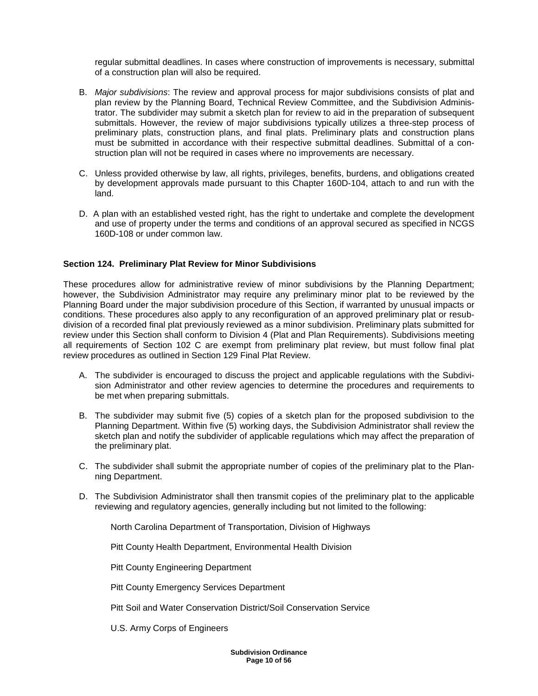regular submittal deadlines. In cases where construction of improvements is necessary, submittal of a construction plan will also be required.

- B. Major subdivisions: The review and approval process for major subdivisions consists of plat and plan review by the Planning Board, Technical Review Committee, and the Subdivision Administrator. The subdivider may submit a sketch plan for review to aid in the preparation of subsequent submittals. However, the review of major subdivisions typically utilizes a three-step process of preliminary plats, construction plans, and final plats. Preliminary plats and construction plans must be submitted in accordance with their respective submittal deadlines. Submittal of a construction plan will not be required in cases where no improvements are necessary.
- C. Unless provided otherwise by law, all rights, privileges, benefits, burdens, and obligations created by development approvals made pursuant to this Chapter 160D-104, attach to and run with the land.
- D. A plan with an established vested right, has the right to undertake and complete the development and use of property under the terms and conditions of an approval secured as specified in NCGS 160D-108 or under common law.

## **Section 124. Preliminary Plat Review for Minor Subdivisions**

These procedures allow for administrative review of minor subdivisions by the Planning Department; however, the Subdivision Administrator may require any preliminary minor plat to be reviewed by the Planning Board under the major subdivision procedure of this Section, if warranted by unusual impacts or conditions. These procedures also apply to any reconfiguration of an approved preliminary plat or resubdivision of a recorded final plat previously reviewed as a minor subdivision. Preliminary plats submitted for review under this Section shall conform to Division 4 (Plat and Plan Requirements). Subdivisions meeting all requirements of Section 102 C are exempt from preliminary plat review, but must follow final plat review procedures as outlined in Section 129 Final Plat Review.

- A. The subdivider is encouraged to discuss the project and applicable regulations with the Subdivision Administrator and other review agencies to determine the procedures and requirements to be met when preparing submittals.
- B. The subdivider may submit five (5) copies of a sketch plan for the proposed subdivision to the Planning Department. Within five (5) working days, the Subdivision Administrator shall review the sketch plan and notify the subdivider of applicable regulations which may affect the preparation of the preliminary plat.
- C. The subdivider shall submit the appropriate number of copies of the preliminary plat to the Planning Department.
- D. The Subdivision Administrator shall then transmit copies of the preliminary plat to the applicable reviewing and regulatory agencies, generally including but not limited to the following:

North Carolina Department of Transportation, Division of Highways

Pitt County Health Department, Environmental Health Division

Pitt County Engineering Department

Pitt County Emergency Services Department

Pitt Soil and Water Conservation District/Soil Conservation Service

U.S. Army Corps of Engineers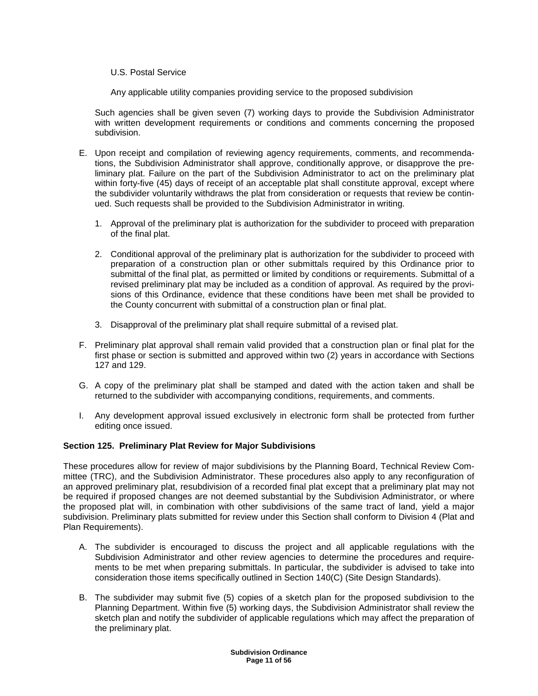## U.S. Postal Service

Any applicable utility companies providing service to the proposed subdivision

Such agencies shall be given seven (7) working days to provide the Subdivision Administrator with written development requirements or conditions and comments concerning the proposed subdivision.

- E. Upon receipt and compilation of reviewing agency requirements, comments, and recommendations, the Subdivision Administrator shall approve, conditionally approve, or disapprove the preliminary plat. Failure on the part of the Subdivision Administrator to act on the preliminary plat within forty-five (45) days of receipt of an acceptable plat shall constitute approval, except where the subdivider voluntarily withdraws the plat from consideration or requests that review be continued. Such requests shall be provided to the Subdivision Administrator in writing.
	- 1. Approval of the preliminary plat is authorization for the subdivider to proceed with preparation of the final plat.
	- 2. Conditional approval of the preliminary plat is authorization for the subdivider to proceed with preparation of a construction plan or other submittals required by this Ordinance prior to submittal of the final plat, as permitted or limited by conditions or requirements. Submittal of a revised preliminary plat may be included as a condition of approval. As required by the provisions of this Ordinance, evidence that these conditions have been met shall be provided to the County concurrent with submittal of a construction plan or final plat.
	- 3. Disapproval of the preliminary plat shall require submittal of a revised plat.
- F. Preliminary plat approval shall remain valid provided that a construction plan or final plat for the first phase or section is submitted and approved within two (2) years in accordance with Sections 127 and 129.
- G. A copy of the preliminary plat shall be stamped and dated with the action taken and shall be returned to the subdivider with accompanying conditions, requirements, and comments.
- I. Any development approval issued exclusively in electronic form shall be protected from further editing once issued.

# **Section 125. Preliminary Plat Review for Major Subdivisions**

These procedures allow for review of major subdivisions by the Planning Board, Technical Review Committee (TRC), and the Subdivision Administrator. These procedures also apply to any reconfiguration of an approved preliminary plat, resubdivision of a recorded final plat except that a preliminary plat may not be required if proposed changes are not deemed substantial by the Subdivision Administrator, or where the proposed plat will, in combination with other subdivisions of the same tract of land, yield a major subdivision. Preliminary plats submitted for review under this Section shall conform to Division 4 (Plat and Plan Requirements).

- A. The subdivider is encouraged to discuss the project and all applicable regulations with the Subdivision Administrator and other review agencies to determine the procedures and requirements to be met when preparing submittals. In particular, the subdivider is advised to take into consideration those items specifically outlined in Section 140(C) (Site Design Standards).
- B. The subdivider may submit five (5) copies of a sketch plan for the proposed subdivision to the Planning Department. Within five (5) working days, the Subdivision Administrator shall review the sketch plan and notify the subdivider of applicable regulations which may affect the preparation of the preliminary plat.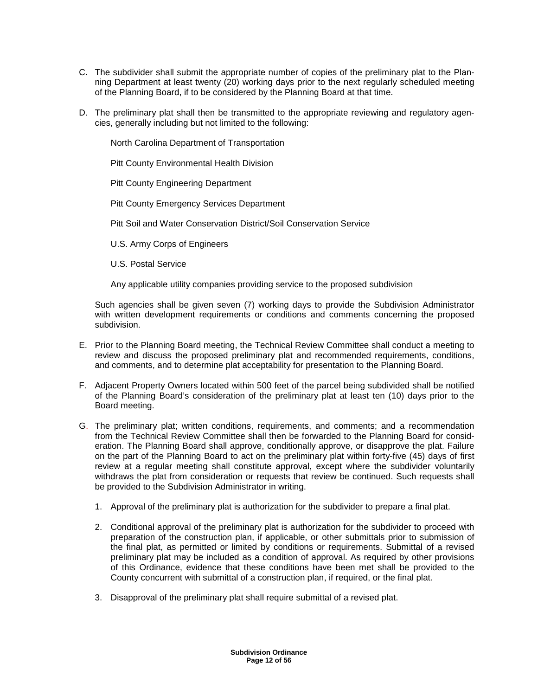- C. The subdivider shall submit the appropriate number of copies of the preliminary plat to the Planning Department at least twenty (20) working days prior to the next regularly scheduled meeting of the Planning Board, if to be considered by the Planning Board at that time.
- D. The preliminary plat shall then be transmitted to the appropriate reviewing and regulatory agencies, generally including but not limited to the following:

North Carolina Department of Transportation

Pitt County Environmental Health Division

Pitt County Engineering Department

Pitt County Emergency Services Department

Pitt Soil and Water Conservation District/Soil Conservation Service

U.S. Army Corps of Engineers

U.S. Postal Service

Any applicable utility companies providing service to the proposed subdivision

Such agencies shall be given seven (7) working days to provide the Subdivision Administrator with written development requirements or conditions and comments concerning the proposed subdivision.

- E. Prior to the Planning Board meeting, the Technical Review Committee shall conduct a meeting to review and discuss the proposed preliminary plat and recommended requirements, conditions, and comments, and to determine plat acceptability for presentation to the Planning Board.
- F. Adjacent Property Owners located within 500 feet of the parcel being subdivided shall be notified of the Planning Board's consideration of the preliminary plat at least ten (10) days prior to the Board meeting.
- G. The preliminary plat; written conditions, requirements, and comments; and a recommendation from the Technical Review Committee shall then be forwarded to the Planning Board for consideration. The Planning Board shall approve, conditionally approve, or disapprove the plat. Failure on the part of the Planning Board to act on the preliminary plat within forty-five (45) days of first review at a regular meeting shall constitute approval, except where the subdivider voluntarily withdraws the plat from consideration or requests that review be continued. Such requests shall be provided to the Subdivision Administrator in writing.
	- 1. Approval of the preliminary plat is authorization for the subdivider to prepare a final plat.
	- 2. Conditional approval of the preliminary plat is authorization for the subdivider to proceed with preparation of the construction plan, if applicable, or other submittals prior to submission of the final plat, as permitted or limited by conditions or requirements. Submittal of a revised preliminary plat may be included as a condition of approval. As required by other provisions of this Ordinance, evidence that these conditions have been met shall be provided to the County concurrent with submittal of a construction plan, if required, or the final plat.
	- 3. Disapproval of the preliminary plat shall require submittal of a revised plat.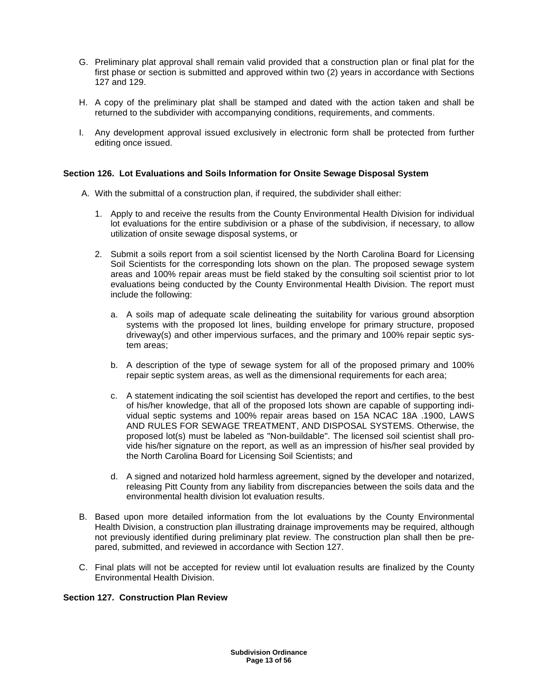- G. Preliminary plat approval shall remain valid provided that a construction plan or final plat for the first phase or section is submitted and approved within two (2) years in accordance with Sections 127 and 129.
- H. A copy of the preliminary plat shall be stamped and dated with the action taken and shall be returned to the subdivider with accompanying conditions, requirements, and comments.
- I. Any development approval issued exclusively in electronic form shall be protected from further editing once issued.

## **Section 126. Lot Evaluations and Soils Information for Onsite Sewage Disposal System**

- A. With the submittal of a construction plan, if required, the subdivider shall either:
	- 1. Apply to and receive the results from the County Environmental Health Division for individual lot evaluations for the entire subdivision or a phase of the subdivision, if necessary, to allow utilization of onsite sewage disposal systems, or
	- 2. Submit a soils report from a soil scientist licensed by the North Carolina Board for Licensing Soil Scientists for the corresponding lots shown on the plan. The proposed sewage system areas and 100% repair areas must be field staked by the consulting soil scientist prior to lot evaluations being conducted by the County Environmental Health Division. The report must include the following:
		- a. A soils map of adequate scale delineating the suitability for various ground absorption systems with the proposed lot lines, building envelope for primary structure, proposed driveway(s) and other impervious surfaces, and the primary and 100% repair septic system areas;
		- b. A description of the type of sewage system for all of the proposed primary and 100% repair septic system areas, as well as the dimensional requirements for each area;
		- c. A statement indicating the soil scientist has developed the report and certifies, to the best of his/her knowledge, that all of the proposed lots shown are capable of supporting individual septic systems and 100% repair areas based on 15A NCAC 18A .1900, LAWS AND RULES FOR SEWAGE TREATMENT, AND DISPOSAL SYSTEMS. Otherwise, the proposed lot(s) must be labeled as "Non-buildable". The licensed soil scientist shall provide his/her signature on the report, as well as an impression of his/her seal provided by the North Carolina Board for Licensing Soil Scientists; and
		- d. A signed and notarized hold harmless agreement, signed by the developer and notarized, releasing Pitt County from any liability from discrepancies between the soils data and the environmental health division lot evaluation results.
- B. Based upon more detailed information from the lot evaluations by the County Environmental Health Division, a construction plan illustrating drainage improvements may be required, although not previously identified during preliminary plat review. The construction plan shall then be prepared, submitted, and reviewed in accordance with Section 127.
- C. Final plats will not be accepted for review until lot evaluation results are finalized by the County Environmental Health Division.

# **Section 127. Construction Plan Review**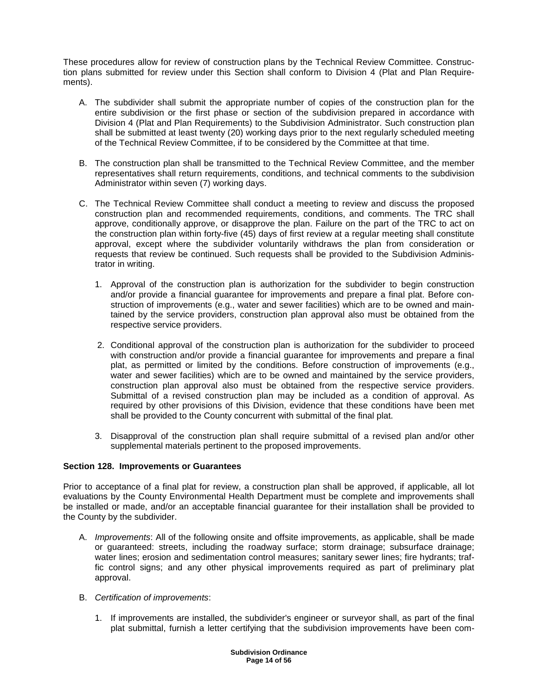These procedures allow for review of construction plans by the Technical Review Committee. Construction plans submitted for review under this Section shall conform to Division 4 (Plat and Plan Requirements).

- A. The subdivider shall submit the appropriate number of copies of the construction plan for the entire subdivision or the first phase or section of the subdivision prepared in accordance with Division 4 (Plat and Plan Requirements) to the Subdivision Administrator. Such construction plan shall be submitted at least twenty (20) working days prior to the next regularly scheduled meeting of the Technical Review Committee, if to be considered by the Committee at that time.
- B. The construction plan shall be transmitted to the Technical Review Committee, and the member representatives shall return requirements, conditions, and technical comments to the subdivision Administrator within seven (7) working days.
- C. The Technical Review Committee shall conduct a meeting to review and discuss the proposed construction plan and recommended requirements, conditions, and comments. The TRC shall approve, conditionally approve, or disapprove the plan. Failure on the part of the TRC to act on the construction plan within forty-five (45) days of first review at a regular meeting shall constitute approval, except where the subdivider voluntarily withdraws the plan from consideration or requests that review be continued. Such requests shall be provided to the Subdivision Administrator in writing.
	- 1. Approval of the construction plan is authorization for the subdivider to begin construction and/or provide a financial guarantee for improvements and prepare a final plat. Before construction of improvements (e.g., water and sewer facilities) which are to be owned and maintained by the service providers, construction plan approval also must be obtained from the respective service providers.
	- 2. Conditional approval of the construction plan is authorization for the subdivider to proceed with construction and/or provide a financial guarantee for improvements and prepare a final plat, as permitted or limited by the conditions. Before construction of improvements (e.g., water and sewer facilities) which are to be owned and maintained by the service providers, construction plan approval also must be obtained from the respective service providers. Submittal of a revised construction plan may be included as a condition of approval. As required by other provisions of this Division, evidence that these conditions have been met shall be provided to the County concurrent with submittal of the final plat.
	- 3. Disapproval of the construction plan shall require submittal of a revised plan and/or other supplemental materials pertinent to the proposed improvements.

## **Section 128. Improvements or Guarantees**

Prior to acceptance of a final plat for review, a construction plan shall be approved, if applicable, all lot evaluations by the County Environmental Health Department must be complete and improvements shall be installed or made, and/or an acceptable financial guarantee for their installation shall be provided to the County by the subdivider.

- A. *Improvements*: All of the following onsite and offsite improvements, as applicable, shall be made or guaranteed: streets, including the roadway surface; storm drainage; subsurface drainage; water lines; erosion and sedimentation control measures; sanitary sewer lines; fire hydrants; traffic control signs; and any other physical improvements required as part of preliminary plat approval.
- B. Certification of improvements:
	- 1. If improvements are installed, the subdivider's engineer or surveyor shall, as part of the final plat submittal, furnish a letter certifying that the subdivision improvements have been com-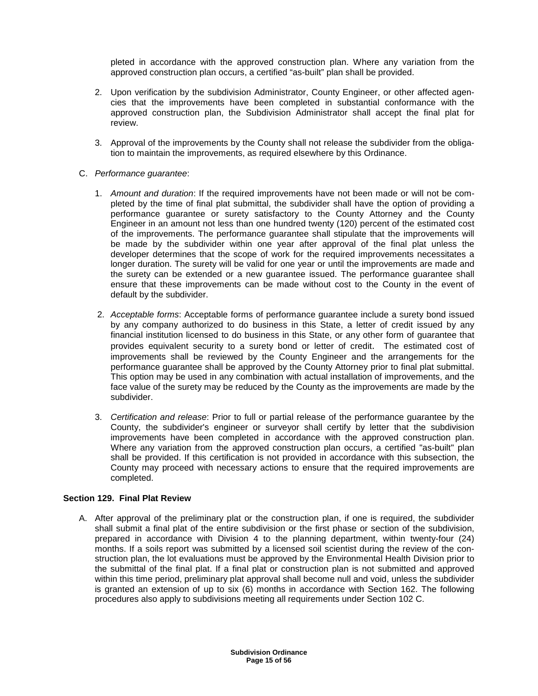pleted in accordance with the approved construction plan. Where any variation from the approved construction plan occurs, a certified "as-built" plan shall be provided.

- 2. Upon verification by the subdivision Administrator, County Engineer, or other affected agencies that the improvements have been completed in substantial conformance with the approved construction plan, the Subdivision Administrator shall accept the final plat for review.
- 3. Approval of the improvements by the County shall not release the subdivider from the obligation to maintain the improvements, as required elsewhere by this Ordinance.
- C. Performance guarantee:
	- 1. Amount and duration: If the required improvements have not been made or will not be completed by the time of final plat submittal, the subdivider shall have the option of providing a performance guarantee or surety satisfactory to the County Attorney and the County Engineer in an amount not less than one hundred twenty (120) percent of the estimated cost of the improvements. The performance guarantee shall stipulate that the improvements will be made by the subdivider within one year after approval of the final plat unless the developer determines that the scope of work for the required improvements necessitates a longer duration. The surety will be valid for one year or until the improvements are made and the surety can be extended or a new guarantee issued. The performance guarantee shall ensure that these improvements can be made without cost to the County in the event of default by the subdivider.
	- 2. Acceptable forms: Acceptable forms of performance guarantee include a surety bond issued by any company authorized to do business in this State, a letter of credit issued by any financial institution licensed to do business in this State, or any other form of guarantee that provides equivalent security to a surety bond or letter of credit. The estimated cost of improvements shall be reviewed by the County Engineer and the arrangements for the performance guarantee shall be approved by the County Attorney prior to final plat submittal. This option may be used in any combination with actual installation of improvements, and the face value of the surety may be reduced by the County as the improvements are made by the subdivider.
	- 3. Certification and release: Prior to full or partial release of the performance guarantee by the County, the subdivider's engineer or surveyor shall certify by letter that the subdivision improvements have been completed in accordance with the approved construction plan. Where any variation from the approved construction plan occurs, a certified "as-built" plan shall be provided. If this certification is not provided in accordance with this subsection, the County may proceed with necessary actions to ensure that the required improvements are completed.

## **Section 129. Final Plat Review**

A. After approval of the preliminary plat or the construction plan, if one is required, the subdivider shall submit a final plat of the entire subdivision or the first phase or section of the subdivision, prepared in accordance with Division 4 to the planning department, within twenty-four (24) months. If a soils report was submitted by a licensed soil scientist during the review of the construction plan, the lot evaluations must be approved by the Environmental Health Division prior to the submittal of the final plat. If a final plat or construction plan is not submitted and approved within this time period, preliminary plat approval shall become null and void, unless the subdivider is granted an extension of up to six (6) months in accordance with Section 162. The following procedures also apply to subdivisions meeting all requirements under Section 102 C.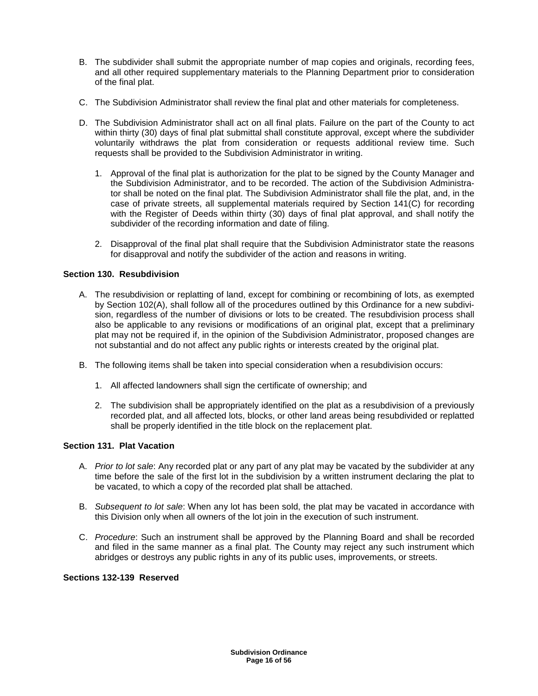- B. The subdivider shall submit the appropriate number of map copies and originals, recording fees, and all other required supplementary materials to the Planning Department prior to consideration of the final plat.
- C. The Subdivision Administrator shall review the final plat and other materials for completeness.
- D. The Subdivision Administrator shall act on all final plats. Failure on the part of the County to act within thirty (30) days of final plat submittal shall constitute approval, except where the subdivider voluntarily withdraws the plat from consideration or requests additional review time. Such requests shall be provided to the Subdivision Administrator in writing.
	- 1. Approval of the final plat is authorization for the plat to be signed by the County Manager and the Subdivision Administrator, and to be recorded. The action of the Subdivision Administrator shall be noted on the final plat. The Subdivision Administrator shall file the plat, and, in the case of private streets, all supplemental materials required by Section 141(C) for recording with the Register of Deeds within thirty (30) days of final plat approval, and shall notify the subdivider of the recording information and date of filing.
	- 2. Disapproval of the final plat shall require that the Subdivision Administrator state the reasons for disapproval and notify the subdivider of the action and reasons in writing.

## **Section 130. Resubdivision**

- A. The resubdivision or replatting of land, except for combining or recombining of lots, as exempted by Section 102(A), shall follow all of the procedures outlined by this Ordinance for a new subdivision, regardless of the number of divisions or lots to be created. The resubdivision process shall also be applicable to any revisions or modifications of an original plat, except that a preliminary plat may not be required if, in the opinion of the Subdivision Administrator, proposed changes are not substantial and do not affect any public rights or interests created by the original plat.
- B. The following items shall be taken into special consideration when a resubdivision occurs:
	- 1. All affected landowners shall sign the certificate of ownership; and
	- 2. The subdivision shall be appropriately identified on the plat as a resubdivision of a previously recorded plat, and all affected lots, blocks, or other land areas being resubdivided or replatted shall be properly identified in the title block on the replacement plat.

# **Section 131. Plat Vacation**

- A. Prior to lot sale: Any recorded plat or any part of any plat may be vacated by the subdivider at any time before the sale of the first lot in the subdivision by a written instrument declaring the plat to be vacated, to which a copy of the recorded plat shall be attached.
- B. Subsequent to lot sale: When any lot has been sold, the plat may be vacated in accordance with this Division only when all owners of the lot join in the execution of such instrument.
- C. Procedure: Such an instrument shall be approved by the Planning Board and shall be recorded and filed in the same manner as a final plat. The County may reject any such instrument which abridges or destroys any public rights in any of its public uses, improvements, or streets.

## **Sections 132-139 Reserved**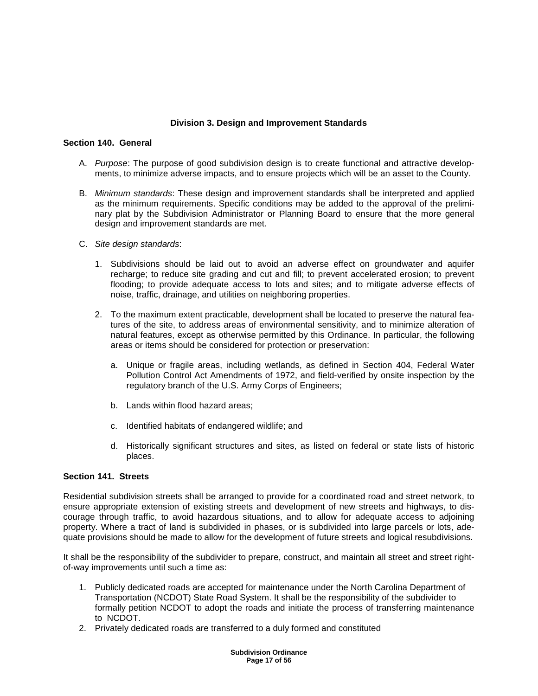# **Division 3. Design and Improvement Standards**

### **Section 140. General**

- A. Purpose: The purpose of good subdivision design is to create functional and attractive developments, to minimize adverse impacts, and to ensure projects which will be an asset to the County.
- B. Minimum standards: These design and improvement standards shall be interpreted and applied as the minimum requirements. Specific conditions may be added to the approval of the preliminary plat by the Subdivision Administrator or Planning Board to ensure that the more general design and improvement standards are met.
- C. Site design standards:
	- 1. Subdivisions should be laid out to avoid an adverse effect on groundwater and aquifer recharge; to reduce site grading and cut and fill; to prevent accelerated erosion; to prevent flooding; to provide adequate access to lots and sites; and to mitigate adverse effects of noise, traffic, drainage, and utilities on neighboring properties.
	- 2. To the maximum extent practicable, development shall be located to preserve the natural features of the site, to address areas of environmental sensitivity, and to minimize alteration of natural features, except as otherwise permitted by this Ordinance. In particular, the following areas or items should be considered for protection or preservation:
		- a. Unique or fragile areas, including wetlands, as defined in Section 404, Federal Water Pollution Control Act Amendments of 1972, and field-verified by onsite inspection by the regulatory branch of the U.S. Army Corps of Engineers;
		- b. Lands within flood hazard areas;
		- c. Identified habitats of endangered wildlife; and
		- d. Historically significant structures and sites, as listed on federal or state lists of historic places.

## **Section 141. Streets**

Residential subdivision streets shall be arranged to provide for a coordinated road and street network, to ensure appropriate extension of existing streets and development of new streets and highways, to discourage through traffic, to avoid hazardous situations, and to allow for adequate access to adjoining property. Where a tract of land is subdivided in phases, or is subdivided into large parcels or lots, adequate provisions should be made to allow for the development of future streets and logical resubdivisions.

It shall be the responsibility of the subdivider to prepare, construct, and maintain all street and street rightof-way improvements until such a time as:

- 1. Publicly dedicated roads are accepted for maintenance under the North Carolina Department of Transportation (NCDOT) State Road System. It shall be the responsibility of the subdivider to formally petition NCDOT to adopt the roads and initiate the process of transferring maintenance to NCDOT.
- 2. Privately dedicated roads are transferred to a duly formed and constituted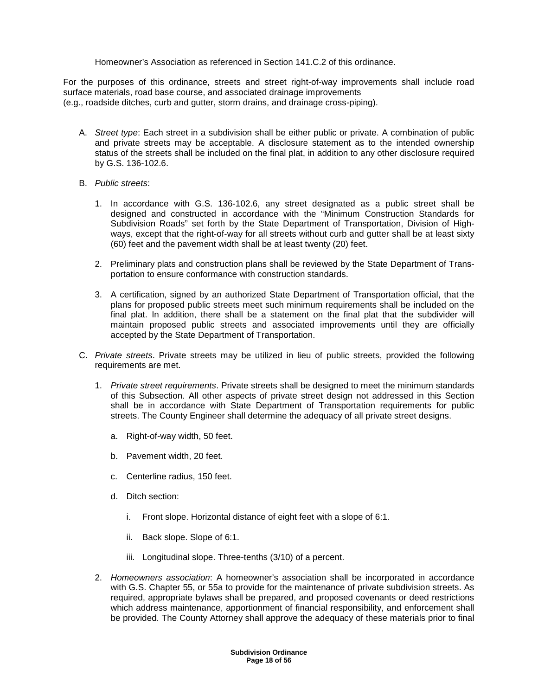Homeowner's Association as referenced in Section 141.C.2 of this ordinance.

For the purposes of this ordinance, streets and street right-of-way improvements shall include road surface materials, road base course, and associated drainage improvements (e.g., roadside ditches, curb and gutter, storm drains, and drainage cross-piping).

- A. Street type: Each street in a subdivision shall be either public or private. A combination of public and private streets may be acceptable. A disclosure statement as to the intended ownership status of the streets shall be included on the final plat, in addition to any other disclosure required by G.S. 136-102.6.
- B. Public streets:
	- 1. In accordance with G.S. 136-102.6, any street designated as a public street shall be designed and constructed in accordance with the "Minimum Construction Standards for Subdivision Roads" set forth by the State Department of Transportation, Division of Highways, except that the right-of-way for all streets without curb and gutter shall be at least sixty (60) feet and the pavement width shall be at least twenty (20) feet.
	- 2. Preliminary plats and construction plans shall be reviewed by the State Department of Transportation to ensure conformance with construction standards.
	- 3. A certification, signed by an authorized State Department of Transportation official, that the plans for proposed public streets meet such minimum requirements shall be included on the final plat. In addition, there shall be a statement on the final plat that the subdivider will maintain proposed public streets and associated improvements until they are officially accepted by the State Department of Transportation.
- C. Private streets. Private streets may be utilized in lieu of public streets, provided the following requirements are met.
	- 1. Private street requirements. Private streets shall be designed to meet the minimum standards of this Subsection. All other aspects of private street design not addressed in this Section shall be in accordance with State Department of Transportation requirements for public streets. The County Engineer shall determine the adequacy of all private street designs.
		- a. Right-of-way width, 50 feet.
		- b. Pavement width, 20 feet.
		- c. Centerline radius, 150 feet.
		- d. Ditch section:
			- i. Front slope. Horizontal distance of eight feet with a slope of 6:1.
			- ii. Back slope. Slope of 6:1.
			- iii. Longitudinal slope. Three-tenths (3/10) of a percent.
	- 2. Homeowners association: A homeowner's association shall be incorporated in accordance with G.S. Chapter 55, or 55a to provide for the maintenance of private subdivision streets. As required, appropriate bylaws shall be prepared, and proposed covenants or deed restrictions which address maintenance, apportionment of financial responsibility, and enforcement shall be provided. The County Attorney shall approve the adequacy of these materials prior to final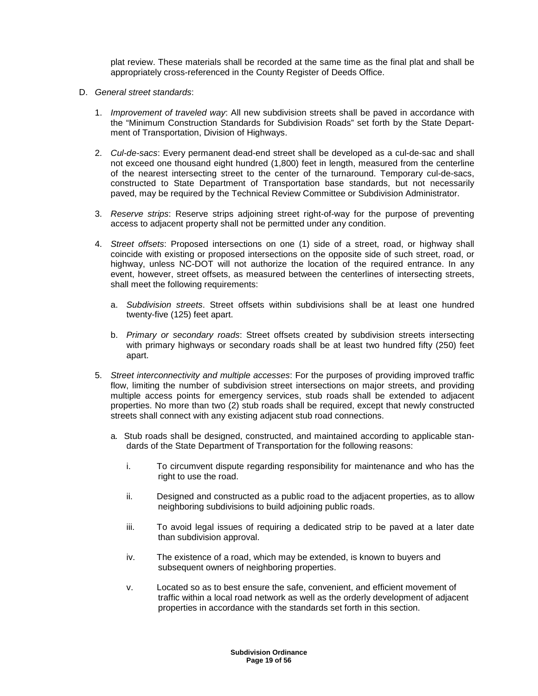plat review. These materials shall be recorded at the same time as the final plat and shall be appropriately cross-referenced in the County Register of Deeds Office.

- D. General street standards:
	- 1. Improvement of traveled way: All new subdivision streets shall be paved in accordance with the "Minimum Construction Standards for Subdivision Roads" set forth by the State Department of Transportation, Division of Highways.
	- 2. Cul-de-sacs: Every permanent dead-end street shall be developed as a cul-de-sac and shall not exceed one thousand eight hundred (1,800) feet in length, measured from the centerline of the nearest intersecting street to the center of the turnaround. Temporary cul-de-sacs, constructed to State Department of Transportation base standards, but not necessarily paved, may be required by the Technical Review Committee or Subdivision Administrator.
	- 3. Reserve strips: Reserve strips adjoining street right-of-way for the purpose of preventing access to adjacent property shall not be permitted under any condition.
	- 4. Street offsets: Proposed intersections on one (1) side of a street, road, or highway shall coincide with existing or proposed intersections on the opposite side of such street, road, or highway, unless NC-DOT will not authorize the location of the required entrance. In any event, however, street offsets, as measured between the centerlines of intersecting streets, shall meet the following requirements:
		- a. Subdivision streets. Street offsets within subdivisions shall be at least one hundred twenty-five (125) feet apart.
		- b. Primary or secondary roads: Street offsets created by subdivision streets intersecting with primary highways or secondary roads shall be at least two hundred fifty (250) feet apart.
	- 5. Street interconnectivity and multiple accesses: For the purposes of providing improved traffic flow, limiting the number of subdivision street intersections on major streets, and providing multiple access points for emergency services, stub roads shall be extended to adjacent properties. No more than two (2) stub roads shall be required, except that newly constructed streets shall connect with any existing adjacent stub road connections.
		- a. Stub roads shall be designed, constructed, and maintained according to applicable standards of the State Department of Transportation for the following reasons:
			- i. To circumvent dispute regarding responsibility for maintenance and who has the right to use the road.
			- ii. Designed and constructed as a public road to the adjacent properties, as to allow neighboring subdivisions to build adjoining public roads.
			- iii. To avoid legal issues of requiring a dedicated strip to be paved at a later date than subdivision approval.
			- iv. The existence of a road, which may be extended, is known to buyers and subsequent owners of neighboring properties.
			- v. Located so as to best ensure the safe, convenient, and efficient movement of traffic within a local road network as well as the orderly development of adjacent properties in accordance with the standards set forth in this section.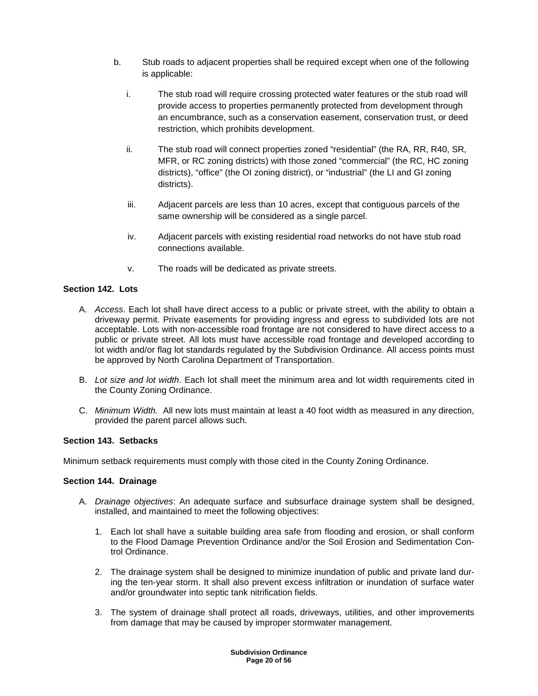- b. Stub roads to adjacent properties shall be required except when one of the following is applicable:
	- i. The stub road will require crossing protected water features or the stub road will provide access to properties permanently protected from development through an encumbrance, such as a conservation easement, conservation trust, or deed restriction, which prohibits development.
	- ii. The stub road will connect properties zoned "residential" (the RA, RR, R40, SR, MFR, or RC zoning districts) with those zoned "commercial" (the RC, HC zoning districts), "office" (the OI zoning district), or "industrial" (the LI and GI zoning districts).
	- iii. Adjacent parcels are less than 10 acres, except that contiguous parcels of the same ownership will be considered as a single parcel.
	- iv. Adjacent parcels with existing residential road networks do not have stub road connections available.
	- v. The roads will be dedicated as private streets.

# **Section 142. Lots**

- A. Access. Each lot shall have direct access to a public or private street, with the ability to obtain a driveway permit. Private easements for providing ingress and egress to subdivided lots are not acceptable. Lots with non-accessible road frontage are not considered to have direct access to a public or private street. All lots must have accessible road frontage and developed according to lot width and/or flag lot standards regulated by the Subdivision Ordinance. All access points must be approved by North Carolina Department of Transportation.
- B. Lot size and lot width. Each lot shall meet the minimum area and lot width requirements cited in the County Zoning Ordinance.
- C. Minimum Width. All new lots must maintain at least a 40 foot width as measured in any direction, provided the parent parcel allows such.

# **Section 143. Setbacks**

Minimum setback requirements must comply with those cited in the County Zoning Ordinance.

# **Section 144. Drainage**

- A. Drainage objectives: An adequate surface and subsurface drainage system shall be designed, installed, and maintained to meet the following objectives:
	- 1. Each lot shall have a suitable building area safe from flooding and erosion, or shall conform to the Flood Damage Prevention Ordinance and/or the Soil Erosion and Sedimentation Control Ordinance.
	- 2. The drainage system shall be designed to minimize inundation of public and private land during the ten-year storm. It shall also prevent excess infiltration or inundation of surface water and/or groundwater into septic tank nitrification fields.
	- 3. The system of drainage shall protect all roads, driveways, utilities, and other improvements from damage that may be caused by improper stormwater management.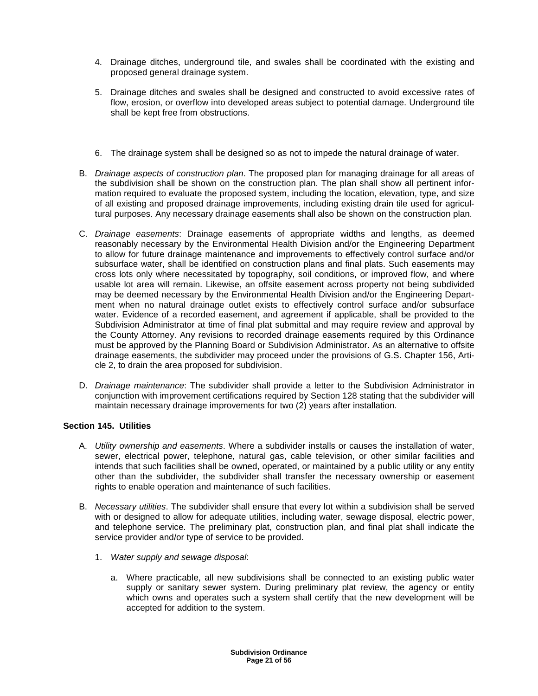- 4. Drainage ditches, underground tile, and swales shall be coordinated with the existing and proposed general drainage system.
- 5. Drainage ditches and swales shall be designed and constructed to avoid excessive rates of flow, erosion, or overflow into developed areas subject to potential damage. Underground tile shall be kept free from obstructions.
- 6. The drainage system shall be designed so as not to impede the natural drainage of water.
- B. Drainage aspects of construction plan. The proposed plan for managing drainage for all areas of the subdivision shall be shown on the construction plan. The plan shall show all pertinent information required to evaluate the proposed system, including the location, elevation, type, and size of all existing and proposed drainage improvements, including existing drain tile used for agricultural purposes. Any necessary drainage easements shall also be shown on the construction plan.
- C. Drainage easements: Drainage easements of appropriate widths and lengths, as deemed reasonably necessary by the Environmental Health Division and/or the Engineering Department to allow for future drainage maintenance and improvements to effectively control surface and/or subsurface water, shall be identified on construction plans and final plats. Such easements may cross lots only where necessitated by topography, soil conditions, or improved flow, and where usable lot area will remain. Likewise, an offsite easement across property not being subdivided may be deemed necessary by the Environmental Health Division and/or the Engineering Department when no natural drainage outlet exists to effectively control surface and/or subsurface water. Evidence of a recorded easement, and agreement if applicable, shall be provided to the Subdivision Administrator at time of final plat submittal and may require review and approval by the County Attorney. Any revisions to recorded drainage easements required by this Ordinance must be approved by the Planning Board or Subdivision Administrator. As an alternative to offsite drainage easements, the subdivider may proceed under the provisions of G.S. Chapter 156, Article 2, to drain the area proposed for subdivision.
- D. Drainage maintenance: The subdivider shall provide a letter to the Subdivision Administrator in conjunction with improvement certifications required by Section 128 stating that the subdivider will maintain necessary drainage improvements for two (2) years after installation.

## **Section 145. Utilities**

- A. *Utility ownership and easements*. Where a subdivider installs or causes the installation of water, sewer, electrical power, telephone, natural gas, cable television, or other similar facilities and intends that such facilities shall be owned, operated, or maintained by a public utility or any entity other than the subdivider, the subdivider shall transfer the necessary ownership or easement rights to enable operation and maintenance of such facilities.
- B. Necessary utilities. The subdivider shall ensure that every lot within a subdivision shall be served with or designed to allow for adequate utilities, including water, sewage disposal, electric power, and telephone service. The preliminary plat, construction plan, and final plat shall indicate the service provider and/or type of service to be provided.
	- 1. Water supply and sewage disposal:
		- a. Where practicable, all new subdivisions shall be connected to an existing public water supply or sanitary sewer system. During preliminary plat review, the agency or entity which owns and operates such a system shall certify that the new development will be accepted for addition to the system.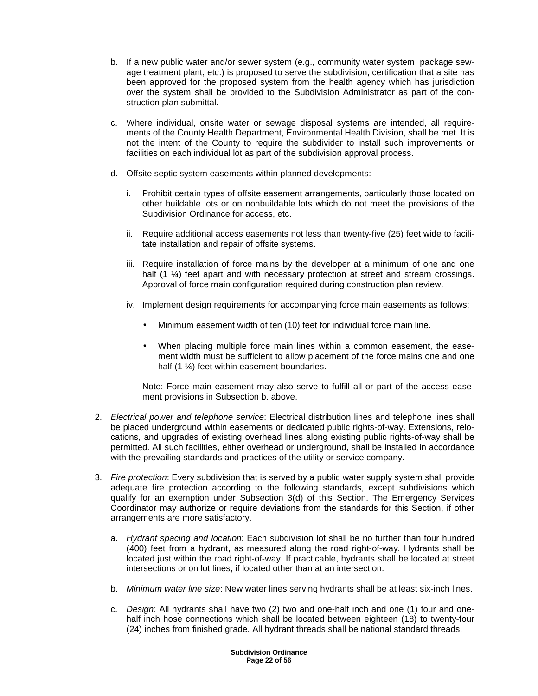- b. If a new public water and/or sewer system (e.g., community water system, package sewage treatment plant, etc.) is proposed to serve the subdivision, certification that a site has been approved for the proposed system from the health agency which has jurisdiction over the system shall be provided to the Subdivision Administrator as part of the construction plan submittal.
- c. Where individual, onsite water or sewage disposal systems are intended, all requirements of the County Health Department, Environmental Health Division, shall be met. It is not the intent of the County to require the subdivider to install such improvements or facilities on each individual lot as part of the subdivision approval process.
- d. Offsite septic system easements within planned developments:
	- i. Prohibit certain types of offsite easement arrangements, particularly those located on other buildable lots or on nonbuildable lots which do not meet the provisions of the Subdivision Ordinance for access, etc.
	- ii. Require additional access easements not less than twenty-five (25) feet wide to facilitate installation and repair of offsite systems.
	- iii. Require installation of force mains by the developer at a minimum of one and one half (1  $\frac{1}{4}$ ) feet apart and with necessary protection at street and stream crossings. Approval of force main configuration required during construction plan review.
	- iv. Implement design requirements for accompanying force main easements as follows:
		- Minimum easement width of ten (10) feet for individual force main line.
		- When placing multiple force main lines within a common easement, the easement width must be sufficient to allow placement of the force mains one and one half (1  $\frac{1}{4}$ ) feet within easement boundaries.

Note: Force main easement may also serve to fulfill all or part of the access easement provisions in Subsection b. above.

- 2. Electrical power and telephone service: Electrical distribution lines and telephone lines shall be placed underground within easements or dedicated public rights-of-way. Extensions, relocations, and upgrades of existing overhead lines along existing public rights-of-way shall be permitted. All such facilities, either overhead or underground, shall be installed in accordance with the prevailing standards and practices of the utility or service company.
- 3. Fire protection: Every subdivision that is served by a public water supply system shall provide adequate fire protection according to the following standards, except subdivisions which qualify for an exemption under Subsection 3(d) of this Section. The Emergency Services Coordinator may authorize or require deviations from the standards for this Section, if other arrangements are more satisfactory.
	- a. Hydrant spacing and location: Each subdivision lot shall be no further than four hundred (400) feet from a hydrant, as measured along the road right-of-way. Hydrants shall be located just within the road right-of-way. If practicable, hydrants shall be located at street intersections or on lot lines, if located other than at an intersection.
	- b. Minimum water line size: New water lines serving hydrants shall be at least six-inch lines.
	- c. Design: All hydrants shall have two (2) two and one-half inch and one (1) four and onehalf inch hose connections which shall be located between eighteen (18) to twenty-four (24) inches from finished grade. All hydrant threads shall be national standard threads.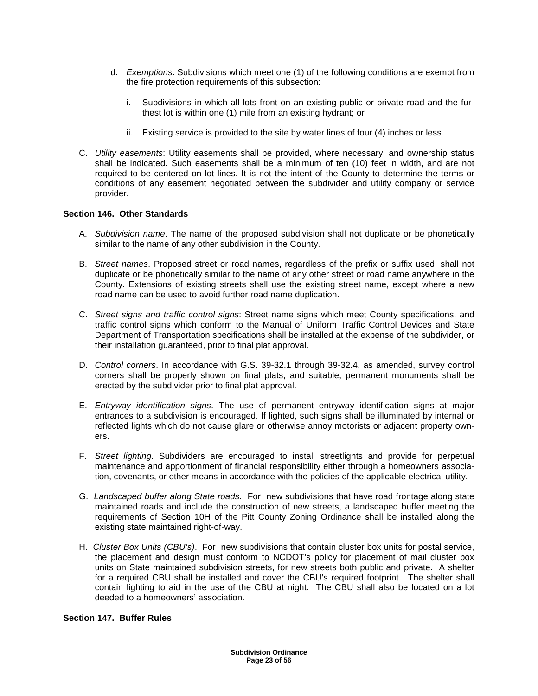- d. Exemptions. Subdivisions which meet one (1) of the following conditions are exempt from the fire protection requirements of this subsection:
	- i. Subdivisions in which all lots front on an existing public or private road and the furthest lot is within one (1) mile from an existing hydrant; or
	- ii. Existing service is provided to the site by water lines of four (4) inches or less.
- C. Utility easements: Utility easements shall be provided, where necessary, and ownership status shall be indicated. Such easements shall be a minimum of ten (10) feet in width, and are not required to be centered on lot lines. It is not the intent of the County to determine the terms or conditions of any easement negotiated between the subdivider and utility company or service provider.

## **Section 146. Other Standards**

- A. Subdivision name. The name of the proposed subdivision shall not duplicate or be phonetically similar to the name of any other subdivision in the County.
- B. Street names. Proposed street or road names, regardless of the prefix or suffix used, shall not duplicate or be phonetically similar to the name of any other street or road name anywhere in the County. Extensions of existing streets shall use the existing street name, except where a new road name can be used to avoid further road name duplication.
- C. Street signs and traffic control signs: Street name signs which meet County specifications, and traffic control signs which conform to the Manual of Uniform Traffic Control Devices and State Department of Transportation specifications shall be installed at the expense of the subdivider, or their installation guaranteed, prior to final plat approval.
- D. Control corners. In accordance with G.S. 39-32.1 through 39-32.4, as amended, survey control corners shall be properly shown on final plats, and suitable, permanent monuments shall be erected by the subdivider prior to final plat approval.
- E. Entryway identification signs. The use of permanent entryway identification signs at major entrances to a subdivision is encouraged. If lighted, such signs shall be illuminated by internal or reflected lights which do not cause glare or otherwise annoy motorists or adjacent property owners.
- F. Street lighting. Subdividers are encouraged to install streetlights and provide for perpetual maintenance and apportionment of financial responsibility either through a homeowners association, covenants, or other means in accordance with the policies of the applicable electrical utility.
- G. Landscaped buffer along State roads. For new subdivisions that have road frontage along state maintained roads and include the construction of new streets, a landscaped buffer meeting the requirements of Section 10H of the Pitt County Zoning Ordinance shall be installed along the existing state maintained right-of-way.
- H. Cluster Box Units (CBU's). For new subdivisions that contain cluster box units for postal service, the placement and design must conform to NCDOT's policy for placement of mail cluster box units on State maintained subdivision streets, for new streets both public and private. A shelter for a required CBU shall be installed and cover the CBU's required footprint. The shelter shall contain lighting to aid in the use of the CBU at night. The CBU shall also be located on a lot deeded to a homeowners' association.

## **Section 147. Buffer Rules**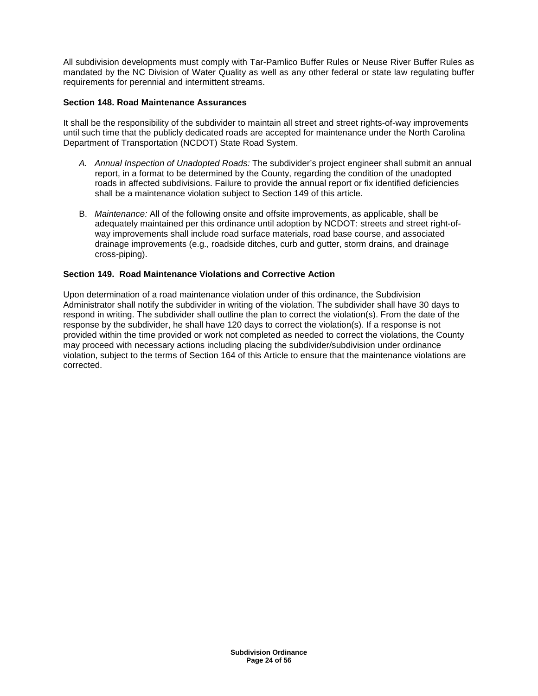All subdivision developments must comply with Tar-Pamlico Buffer Rules or Neuse River Buffer Rules as mandated by the NC Division of Water Quality as well as any other federal or state law regulating buffer requirements for perennial and intermittent streams.

## **Section 148. Road Maintenance Assurances**

It shall be the responsibility of the subdivider to maintain all street and street rights-of-way improvements until such time that the publicly dedicated roads are accepted for maintenance under the North Carolina Department of Transportation (NCDOT) State Road System.

- A. Annual Inspection of Unadopted Roads: The subdivider's project engineer shall submit an annual report, in a format to be determined by the County, regarding the condition of the unadopted roads in affected subdivisions. Failure to provide the annual report or fix identified deficiencies shall be a maintenance violation subject to Section 149 of this article.
- B. Maintenance: All of the following onsite and offsite improvements, as applicable, shall be adequately maintained per this ordinance until adoption by NCDOT: streets and street right-ofway improvements shall include road surface materials, road base course, and associated drainage improvements (e.g., roadside ditches, curb and gutter, storm drains, and drainage cross-piping).

#### **Section 149. Road Maintenance Violations and Corrective Action**

Upon determination of a road maintenance violation under of this ordinance, the Subdivision Administrator shall notify the subdivider in writing of the violation. The subdivider shall have 30 days to respond in writing. The subdivider shall outline the plan to correct the violation(s). From the date of the response by the subdivider, he shall have 120 days to correct the violation(s). If a response is not provided within the time provided or work not completed as needed to correct the violations, the County may proceed with necessary actions including placing the subdivider/subdivision under ordinance violation, subject to the terms of Section 164 of this Article to ensure that the maintenance violations are corrected.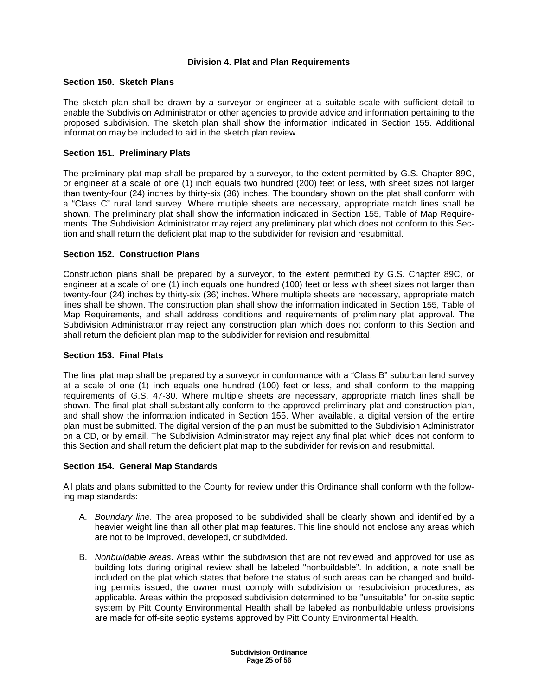## **Division 4. Plat and Plan Requirements**

## **Section 150. Sketch Plans**

The sketch plan shall be drawn by a surveyor or engineer at a suitable scale with sufficient detail to enable the Subdivision Administrator or other agencies to provide advice and information pertaining to the proposed subdivision. The sketch plan shall show the information indicated in Section 155. Additional information may be included to aid in the sketch plan review.

## **Section 151. Preliminary Plats**

The preliminary plat map shall be prepared by a surveyor, to the extent permitted by G.S. Chapter 89C, or engineer at a scale of one (1) inch equals two hundred (200) feet or less, with sheet sizes not larger than twenty-four (24) inches by thirty-six (36) inches. The boundary shown on the plat shall conform with a "Class C" rural land survey. Where multiple sheets are necessary, appropriate match lines shall be shown. The preliminary plat shall show the information indicated in Section 155, Table of Map Requirements. The Subdivision Administrator may reject any preliminary plat which does not conform to this Section and shall return the deficient plat map to the subdivider for revision and resubmittal.

## **Section 152. Construction Plans**

Construction plans shall be prepared by a surveyor, to the extent permitted by G.S. Chapter 89C, or engineer at a scale of one (1) inch equals one hundred (100) feet or less with sheet sizes not larger than twenty-four (24) inches by thirty-six (36) inches. Where multiple sheets are necessary, appropriate match lines shall be shown. The construction plan shall show the information indicated in Section 155, Table of Map Requirements, and shall address conditions and requirements of preliminary plat approval. The Subdivision Administrator may reject any construction plan which does not conform to this Section and shall return the deficient plan map to the subdivider for revision and resubmittal.

## **Section 153. Final Plats**

The final plat map shall be prepared by a surveyor in conformance with a "Class B" suburban land survey at a scale of one (1) inch equals one hundred (100) feet or less, and shall conform to the mapping requirements of G.S. 47-30. Where multiple sheets are necessary, appropriate match lines shall be shown. The final plat shall substantially conform to the approved preliminary plat and construction plan, and shall show the information indicated in Section 155. When available, a digital version of the entire plan must be submitted. The digital version of the plan must be submitted to the Subdivision Administrator on a CD, or by email. The Subdivision Administrator may reject any final plat which does not conform to this Section and shall return the deficient plat map to the subdivider for revision and resubmittal.

## **Section 154. General Map Standards**

All plats and plans submitted to the County for review under this Ordinance shall conform with the following map standards:

- A. Boundary line. The area proposed to be subdivided shall be clearly shown and identified by a heavier weight line than all other plat map features. This line should not enclose any areas which are not to be improved, developed, or subdivided.
- B. Nonbuildable areas. Areas within the subdivision that are not reviewed and approved for use as building lots during original review shall be labeled "nonbuildable". In addition, a note shall be included on the plat which states that before the status of such areas can be changed and building permits issued, the owner must comply with subdivision or resubdivision procedures, as applicable. Areas within the proposed subdivision determined to be "unsuitable" for on-site septic system by Pitt County Environmental Health shall be labeled as nonbuildable unless provisions are made for off-site septic systems approved by Pitt County Environmental Health.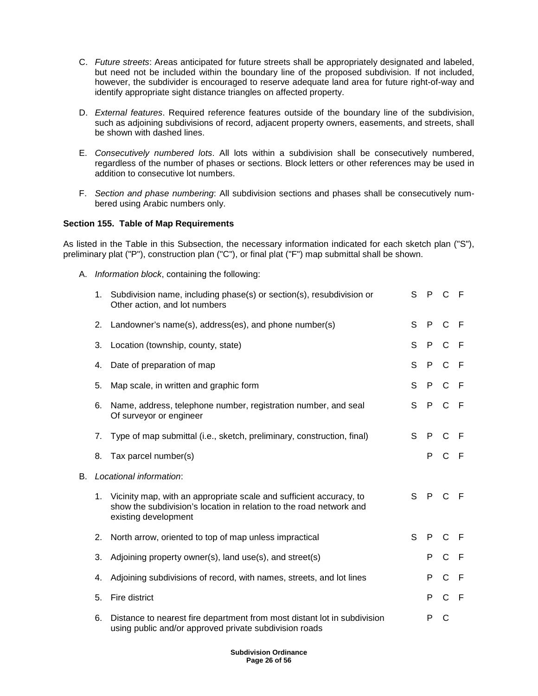- C. Future streets: Areas anticipated for future streets shall be appropriately designated and labeled, but need not be included within the boundary line of the proposed subdivision. If not included, however, the subdivider is encouraged to reserve adequate land area for future right-of-way and identify appropriate sight distance triangles on affected property.
- D. External features. Required reference features outside of the boundary line of the subdivision, such as adjoining subdivisions of record, adjacent property owners, easements, and streets, shall be shown with dashed lines.
- E. Consecutively numbered lots. All lots within a subdivision shall be consecutively numbered, regardless of the number of phases or sections. Block letters or other references may be used in addition to consecutive lot numbers.
- F. Section and phase numbering: All subdivision sections and phases shall be consecutively numbered using Arabic numbers only.

## **Section 155. Table of Map Requirements**

As listed in the Table in this Subsection, the necessary information indicated for each sketch plan ("S"), preliminary plat ("P"), construction plan ("C"), or final plat ("F") map submittal shall be shown.

A. Information block, containing the following:

|           | 1. | Subdivision name, including phase(s) or section(s), resubdivision or<br>Other action, and lot numbers                                                              | S            | $\mathsf{P}$ | $C$ F         |              |
|-----------|----|--------------------------------------------------------------------------------------------------------------------------------------------------------------------|--------------|--------------|---------------|--------------|
|           | 2. | Landowner's name(s), address(es), and phone number(s)                                                                                                              | S            | $\mathsf{P}$ | $\mathsf{C}$  | -F           |
|           | 3. | Location (township, county, state)                                                                                                                                 | S            | P            | $\mathsf{C}$  | -F           |
|           | 4. | Date of preparation of map                                                                                                                                         | S            | P            | $\mathsf{C}$  | -F           |
|           | 5. | Map scale, in written and graphic form                                                                                                                             | S            | P            | $\mathsf{C}$  | -F           |
|           | 6. | Name, address, telephone number, registration number, and seal<br>Of surveyor or engineer                                                                          | S            | P            | $\mathsf{C}$  | - F          |
|           | 7. | Type of map submittal (i.e., sketch, preliminary, construction, final)                                                                                             | S            | $\mathsf{P}$ | $\mathsf{C}$  | F            |
|           | 8. | Tax parcel number(s)                                                                                                                                               |              | P            | $\mathbf C$   | $\mathsf{F}$ |
| <b>B.</b> |    | Locational information:                                                                                                                                            |              |              |               |              |
|           | 1. | Vicinity map, with an appropriate scale and sufficient accuracy, to<br>show the subdivision's location in relation to the road network and<br>existing development | S            | $\mathsf{P}$ | $\mathcal{C}$ | -F           |
|           | 2. | North arrow, oriented to top of map unless impractical                                                                                                             | $\mathsf{S}$ | P            | C             | F            |
|           | 3. | Adjoining property owner(s), land use(s), and street(s)                                                                                                            |              | P            | $\mathsf{C}$  | $\mathsf F$  |
|           | 4. | Adjoining subdivisions of record, with names, streets, and lot lines                                                                                               |              | P            | $\mathsf{C}$  | F            |
|           | 5. | Fire district                                                                                                                                                      |              | P            | $\mathsf{C}$  | -F           |
|           | 6. | Distance to nearest fire department from most distant lot in subdivision<br>using public and/or approved private subdivision roads                                 |              | P            | $\mathsf{C}$  |              |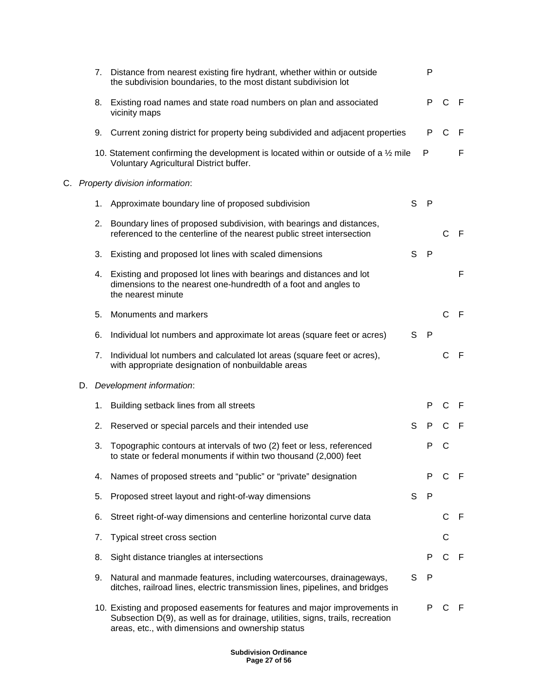|    |    | 7.                             | Distance from nearest existing fire hydrant, whether within or outside<br>the subdivision boundaries, to the most distant subdivision lot                                                                         |   | P            |              |              |
|----|----|--------------------------------|-------------------------------------------------------------------------------------------------------------------------------------------------------------------------------------------------------------------|---|--------------|--------------|--------------|
|    |    | 8.                             | Existing road names and state road numbers on plan and associated<br>vicinity maps                                                                                                                                |   | P.           | C            | - F          |
|    |    | 9.                             | Current zoning district for property being subdivided and adjacent properties                                                                                                                                     |   | P            | $\mathsf{C}$ | F            |
|    |    |                                | 10. Statement confirming the development is located within or outside of a $\frac{1}{2}$ mile<br>Voluntary Agricultural District buffer.                                                                          |   | P            |              | F            |
| C. |    | Property division information: |                                                                                                                                                                                                                   |   |              |              |              |
|    |    |                                | 1. Approximate boundary line of proposed subdivision                                                                                                                                                              | S | P            |              |              |
|    |    | 2.                             | Boundary lines of proposed subdivision, with bearings and distances,<br>referenced to the centerline of the nearest public street intersection                                                                    |   |              | C.           | -F           |
|    |    | 3.                             | Existing and proposed lot lines with scaled dimensions                                                                                                                                                            | S | $\mathsf{P}$ |              |              |
|    |    |                                | 4. Existing and proposed lot lines with bearings and distances and lot<br>dimensions to the nearest one-hundredth of a foot and angles to<br>the nearest minute                                                   |   |              |              | F            |
|    |    | 5.                             | Monuments and markers                                                                                                                                                                                             |   |              | C            | - F          |
|    |    | 6.                             | Individual lot numbers and approximate lot areas (square feet or acres)                                                                                                                                           | S | $\mathsf{P}$ |              |              |
|    |    | 7.                             | Individual lot numbers and calculated lot areas (square feet or acres),<br>with appropriate designation of nonbuildable areas                                                                                     |   |              | C            | $\mathsf{F}$ |
|    | D. |                                | Development information:                                                                                                                                                                                          |   |              |              |              |
|    |    | 1.                             | Building setback lines from all streets                                                                                                                                                                           |   | P            | C            | F            |
|    |    | 2.                             | Reserved or special parcels and their intended use                                                                                                                                                                | S | P            | С            | F            |
|    |    | 3.                             | Topographic contours at intervals of two (2) feet or less, referenced<br>to state or federal monuments if within two thousand (2,000) feet                                                                        |   | Р            | С            |              |
|    |    | 4.                             | Names of proposed streets and "public" or "private" designation                                                                                                                                                   |   | P            | C            | -F           |
|    |    | 5.                             | Proposed street layout and right-of-way dimensions                                                                                                                                                                | S | -P           |              |              |
|    |    | 6.                             | Street right-of-way dimensions and centerline horizontal curve data                                                                                                                                               |   |              | $\mathsf{C}$ | F            |
|    |    | 7.                             | Typical street cross section                                                                                                                                                                                      |   |              | С            |              |
|    |    | 8.                             | Sight distance triangles at intersections                                                                                                                                                                         |   | P            | C            | -F           |
|    |    | 9.                             | Natural and manmade features, including watercourses, drainageways,<br>ditches, railroad lines, electric transmission lines, pipelines, and bridges                                                               | S | P            |              |              |
|    |    |                                | 10. Existing and proposed easements for features and major improvements in<br>Subsection D(9), as well as for drainage, utilities, signs, trails, recreation<br>areas, etc., with dimensions and ownership status |   | P            | C            | -F           |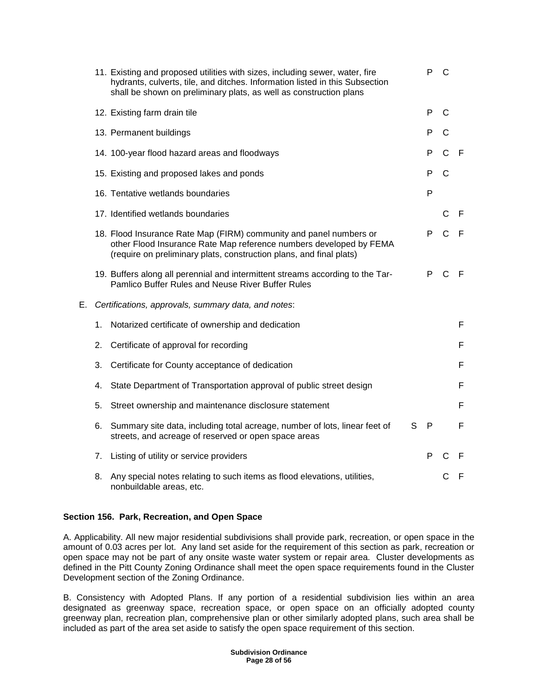|    |    | 11. Existing and proposed utilities with sizes, including sewer, water, fire<br>hydrants, culverts, tile, and ditches. Information listed in this Subsection<br>shall be shown on preliminary plats, as well as construction plans | P | C            |              |
|----|----|------------------------------------------------------------------------------------------------------------------------------------------------------------------------------------------------------------------------------------|---|--------------|--------------|
|    |    | 12. Existing farm drain tile                                                                                                                                                                                                       | P | C            |              |
|    |    | 13. Permanent buildings                                                                                                                                                                                                            | P | C            |              |
|    |    | 14. 100-year flood hazard areas and floodways                                                                                                                                                                                      | P | $\mathsf{C}$ | $\mathsf{F}$ |
|    |    | 15. Existing and proposed lakes and ponds                                                                                                                                                                                          | P | C            |              |
|    |    | 16. Tentative wetlands boundaries                                                                                                                                                                                                  | P |              |              |
|    |    | 17. Identified wetlands boundaries                                                                                                                                                                                                 |   | C            | $\mathsf{F}$ |
|    |    | 18. Flood Insurance Rate Map (FIRM) community and panel numbers or<br>other Flood Insurance Rate Map reference numbers developed by FEMA<br>(require on preliminary plats, construction plans, and final plats)                    | P | $\mathsf{C}$ | - F          |
|    |    | 19. Buffers along all perennial and intermittent streams according to the Tar-<br>Pamlico Buffer Rules and Neuse River Buffer Rules                                                                                                | P | $\mathsf{C}$ | -F           |
| Е. |    | Certifications, approvals, summary data, and notes:                                                                                                                                                                                |   |              |              |
|    | 1. | Notarized certificate of ownership and dedication                                                                                                                                                                                  |   |              | F            |
|    | 2. | Certificate of approval for recording                                                                                                                                                                                              |   |              | F            |
|    | 3. | Certificate for County acceptance of dedication                                                                                                                                                                                    |   |              | F            |
|    | 4. | State Department of Transportation approval of public street design                                                                                                                                                                |   |              | F            |
|    | 5. | Street ownership and maintenance disclosure statement                                                                                                                                                                              |   |              | F            |
|    | 6. | S<br>Summary site data, including total acreage, number of lots, linear feet of<br>streets, and acreage of reserved or open space areas                                                                                            | P |              | F            |
|    | 7. | Listing of utility or service providers                                                                                                                                                                                            | P | $\mathsf{C}$ | F            |
|    | 8. | Any special notes relating to such items as flood elevations, utilities,<br>nonbuildable areas, etc.                                                                                                                               |   | С            | $\mathsf{F}$ |

# **Section 156. Park, Recreation, and Open Space**

A. Applicability. All new major residential subdivisions shall provide park, recreation, or open space in the amount of 0.03 acres per lot. Any land set aside for the requirement of this section as park, recreation or open space may not be part of any onsite waste water system or repair area. Cluster developments as defined in the Pitt County Zoning Ordinance shall meet the open space requirements found in the Cluster Development section of the Zoning Ordinance.

B. Consistency with Adopted Plans. If any portion of a residential subdivision lies within an area designated as greenway space, recreation space, or open space on an officially adopted county greenway plan, recreation plan, comprehensive plan or other similarly adopted plans, such area shall be included as part of the area set aside to satisfy the open space requirement of this section.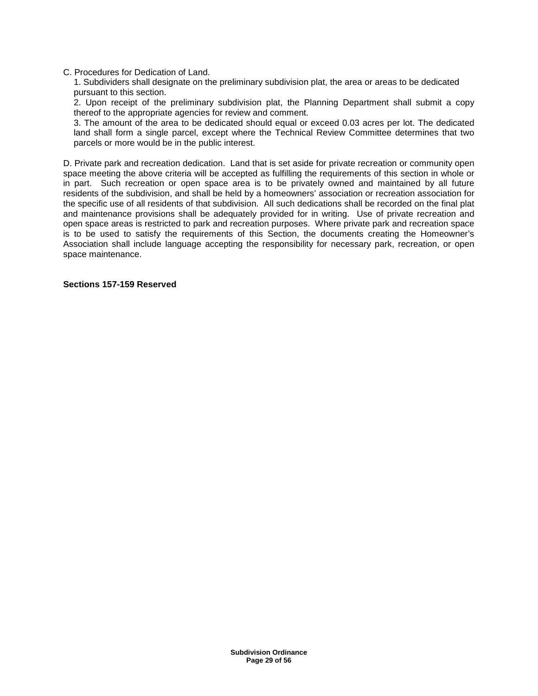### C. Procedures for Dedication of Land.

1. Subdividers shall designate on the preliminary subdivision plat, the area or areas to be dedicated pursuant to this section.

2. Upon receipt of the preliminary subdivision plat, the Planning Department shall submit a copy thereof to the appropriate agencies for review and comment.

3. The amount of the area to be dedicated should equal or exceed 0.03 acres per lot. The dedicated land shall form a single parcel, except where the Technical Review Committee determines that two parcels or more would be in the public interest.

D. Private park and recreation dedication. Land that is set aside for private recreation or community open space meeting the above criteria will be accepted as fulfilling the requirements of this section in whole or in part. Such recreation or open space area is to be privately owned and maintained by all future residents of the subdivision, and shall be held by a homeowners' association or recreation association for the specific use of all residents of that subdivision. All such dedications shall be recorded on the final plat and maintenance provisions shall be adequately provided for in writing. Use of private recreation and open space areas is restricted to park and recreation purposes. Where private park and recreation space is to be used to satisfy the requirements of this Section, the documents creating the Homeowner's Association shall include language accepting the responsibility for necessary park, recreation, or open space maintenance.

#### **Sections 157-159 Reserved**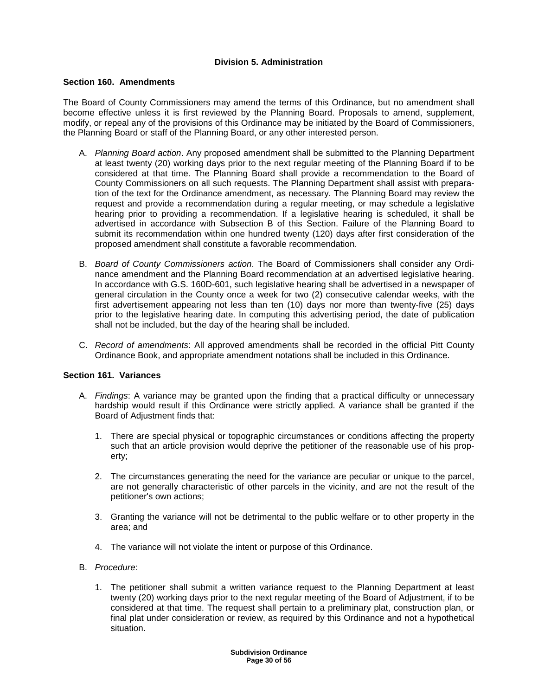## **Division 5. Administration**

## **Section 160. Amendments**

The Board of County Commissioners may amend the terms of this Ordinance, but no amendment shall become effective unless it is first reviewed by the Planning Board. Proposals to amend, supplement, modify, or repeal any of the provisions of this Ordinance may be initiated by the Board of Commissioners, the Planning Board or staff of the Planning Board, or any other interested person.

- A. Planning Board action. Any proposed amendment shall be submitted to the Planning Department at least twenty (20) working days prior to the next regular meeting of the Planning Board if to be considered at that time. The Planning Board shall provide a recommendation to the Board of County Commissioners on all such requests. The Planning Department shall assist with preparation of the text for the Ordinance amendment, as necessary. The Planning Board may review the request and provide a recommendation during a regular meeting, or may schedule a legislative hearing prior to providing a recommendation. If a legislative hearing is scheduled, it shall be advertised in accordance with Subsection B of this Section. Failure of the Planning Board to submit its recommendation within one hundred twenty (120) days after first consideration of the proposed amendment shall constitute a favorable recommendation.
- B. Board of County Commissioners action. The Board of Commissioners shall consider any Ordinance amendment and the Planning Board recommendation at an advertised legislative hearing. In accordance with G.S. 160D-601, such legislative hearing shall be advertised in a newspaper of general circulation in the County once a week for two (2) consecutive calendar weeks, with the first advertisement appearing not less than ten (10) days nor more than twenty-five (25) days prior to the legislative hearing date. In computing this advertising period, the date of publication shall not be included, but the day of the hearing shall be included.
- C. Record of amendments: All approved amendments shall be recorded in the official Pitt County Ordinance Book, and appropriate amendment notations shall be included in this Ordinance.

## **Section 161. Variances**

- A. Findings: A variance may be granted upon the finding that a practical difficulty or unnecessary hardship would result if this Ordinance were strictly applied. A variance shall be granted if the Board of Adjustment finds that:
	- 1. There are special physical or topographic circumstances or conditions affecting the property such that an article provision would deprive the petitioner of the reasonable use of his property;
	- 2. The circumstances generating the need for the variance are peculiar or unique to the parcel, are not generally characteristic of other parcels in the vicinity, and are not the result of the petitioner's own actions;
	- 3. Granting the variance will not be detrimental to the public welfare or to other property in the area; and
	- 4. The variance will not violate the intent or purpose of this Ordinance.
- B. Procedure:
	- 1. The petitioner shall submit a written variance request to the Planning Department at least twenty (20) working days prior to the next regular meeting of the Board of Adjustment, if to be considered at that time. The request shall pertain to a preliminary plat, construction plan, or final plat under consideration or review, as required by this Ordinance and not a hypothetical situation.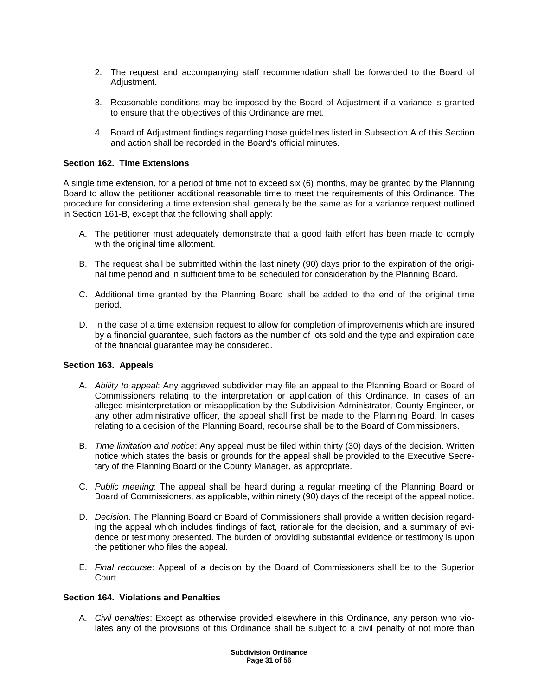- 2. The request and accompanying staff recommendation shall be forwarded to the Board of Adjustment.
- 3. Reasonable conditions may be imposed by the Board of Adjustment if a variance is granted to ensure that the objectives of this Ordinance are met.
- 4. Board of Adjustment findings regarding those guidelines listed in Subsection A of this Section and action shall be recorded in the Board's official minutes.

#### **Section 162. Time Extensions**

A single time extension, for a period of time not to exceed six (6) months, may be granted by the Planning Board to allow the petitioner additional reasonable time to meet the requirements of this Ordinance. The procedure for considering a time extension shall generally be the same as for a variance request outlined in Section 161-B, except that the following shall apply:

- A. The petitioner must adequately demonstrate that a good faith effort has been made to comply with the original time allotment.
- B. The request shall be submitted within the last ninety (90) days prior to the expiration of the original time period and in sufficient time to be scheduled for consideration by the Planning Board.
- C. Additional time granted by the Planning Board shall be added to the end of the original time period.
- D. In the case of a time extension request to allow for completion of improvements which are insured by a financial guarantee, such factors as the number of lots sold and the type and expiration date of the financial guarantee may be considered.

## **Section 163. Appeals**

- A. Ability to appeal: Any aggrieved subdivider may file an appeal to the Planning Board or Board of Commissioners relating to the interpretation or application of this Ordinance. In cases of an alleged misinterpretation or misapplication by the Subdivision Administrator, County Engineer, or any other administrative officer, the appeal shall first be made to the Planning Board. In cases relating to a decision of the Planning Board, recourse shall be to the Board of Commissioners.
- B. Time limitation and notice: Any appeal must be filed within thirty (30) days of the decision. Written notice which states the basis or grounds for the appeal shall be provided to the Executive Secretary of the Planning Board or the County Manager, as appropriate.
- C. Public meeting: The appeal shall be heard during a regular meeting of the Planning Board or Board of Commissioners, as applicable, within ninety (90) days of the receipt of the appeal notice.
- D. Decision. The Planning Board or Board of Commissioners shall provide a written decision regarding the appeal which includes findings of fact, rationale for the decision, and a summary of evidence or testimony presented. The burden of providing substantial evidence or testimony is upon the petitioner who files the appeal.
- E. Final recourse: Appeal of a decision by the Board of Commissioners shall be to the Superior Court.

## **Section 164. Violations and Penalties**

A. Civil penalties: Except as otherwise provided elsewhere in this Ordinance, any person who violates any of the provisions of this Ordinance shall be subject to a civil penalty of not more than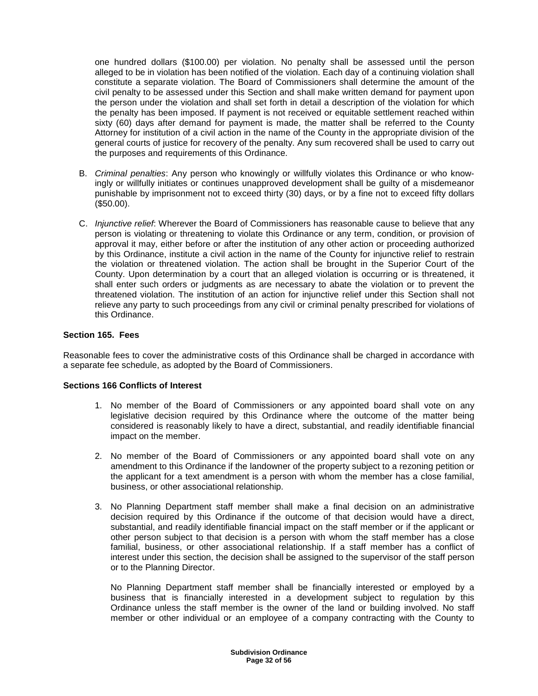one hundred dollars (\$100.00) per violation. No penalty shall be assessed until the person alleged to be in violation has been notified of the violation. Each day of a continuing violation shall constitute a separate violation. The Board of Commissioners shall determine the amount of the civil penalty to be assessed under this Section and shall make written demand for payment upon the person under the violation and shall set forth in detail a description of the violation for which the penalty has been imposed. If payment is not received or equitable settlement reached within sixty (60) days after demand for payment is made, the matter shall be referred to the County Attorney for institution of a civil action in the name of the County in the appropriate division of the general courts of justice for recovery of the penalty. Any sum recovered shall be used to carry out the purposes and requirements of this Ordinance.

- B. Criminal penalties: Any person who knowingly or willfully violates this Ordinance or who knowingly or willfully initiates or continues unapproved development shall be guilty of a misdemeanor punishable by imprisonment not to exceed thirty (30) days, or by a fine not to exceed fifty dollars (\$50.00).
- C. Injunctive relief: Wherever the Board of Commissioners has reasonable cause to believe that any person is violating or threatening to violate this Ordinance or any term, condition, or provision of approval it may, either before or after the institution of any other action or proceeding authorized by this Ordinance, institute a civil action in the name of the County for injunctive relief to restrain the violation or threatened violation. The action shall be brought in the Superior Court of the County. Upon determination by a court that an alleged violation is occurring or is threatened, it shall enter such orders or judgments as are necessary to abate the violation or to prevent the threatened violation. The institution of an action for injunctive relief under this Section shall not relieve any party to such proceedings from any civil or criminal penalty prescribed for violations of this Ordinance.

## **Section 165. Fees**

Reasonable fees to cover the administrative costs of this Ordinance shall be charged in accordance with a separate fee schedule, as adopted by the Board of Commissioners.

## **Sections 166 Conflicts of Interest**

- 1. No member of the Board of Commissioners or any appointed board shall vote on any legislative decision required by this Ordinance where the outcome of the matter being considered is reasonably likely to have a direct, substantial, and readily identifiable financial impact on the member.
- 2. No member of the Board of Commissioners or any appointed board shall vote on any amendment to this Ordinance if the landowner of the property subject to a rezoning petition or the applicant for a text amendment is a person with whom the member has a close familial, business, or other associational relationship.
- 3. No Planning Department staff member shall make a final decision on an administrative decision required by this Ordinance if the outcome of that decision would have a direct, substantial, and readily identifiable financial impact on the staff member or if the applicant or other person subject to that decision is a person with whom the staff member has a close familial, business, or other associational relationship. If a staff member has a conflict of interest under this section, the decision shall be assigned to the supervisor of the staff person or to the Planning Director.

 No Planning Department staff member shall be financially interested or employed by a business that is financially interested in a development subject to regulation by this Ordinance unless the staff member is the owner of the land or building involved. No staff member or other individual or an employee of a company contracting with the County to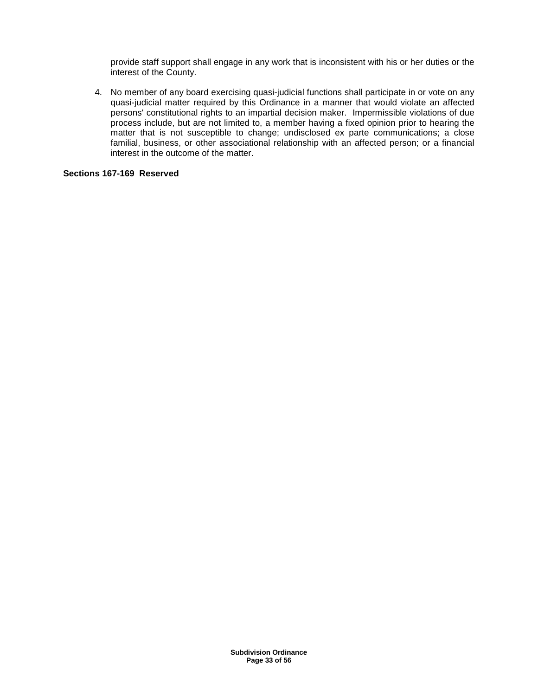provide staff support shall engage in any work that is inconsistent with his or her duties or the interest of the County.

4. No member of any board exercising quasi-judicial functions shall participate in or vote on any quasi-judicial matter required by this Ordinance in a manner that would violate an affected persons' constitutional rights to an impartial decision maker. Impermissible violations of due process include, but are not limited to, a member having a fixed opinion prior to hearing the matter that is not susceptible to change; undisclosed ex parte communications; a close familial, business, or other associational relationship with an affected person; or a financial interest in the outcome of the matter.

## **Sections 167-169 Reserved**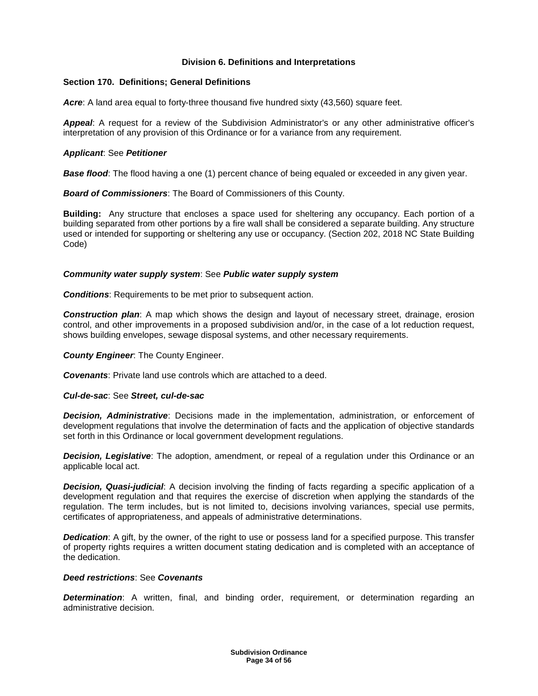## **Division 6. Definitions and Interpretations**

## **Section 170. Definitions; General Definitions**

Acre: A land area equal to forty-three thousand five hundred sixty (43,560) square feet.

**Appeal**: A request for a review of the Subdivision Administrator's or any other administrative officer's interpretation of any provision of this Ordinance or for a variance from any requirement.

## **Applicant**: See **Petitioner**

**Base flood:** The flood having a one (1) percent chance of being equaled or exceeded in any given year.

**Board of Commissioners**: The Board of Commissioners of this County.

**Building:** Any structure that encloses a space used for sheltering any occupancy. Each portion of a building separated from other portions by a fire wall shall be considered a separate building. Any structure used or intended for supporting or sheltering any use or occupancy. (Section 202, 2018 NC State Building Code)

## **Community water supply system**: See **Public water supply system**

**Conditions**: Requirements to be met prior to subsequent action.

**Construction plan**: A map which shows the design and layout of necessary street, drainage, erosion control, and other improvements in a proposed subdivision and/or, in the case of a lot reduction request, shows building envelopes, sewage disposal systems, and other necessary requirements.

## **County Engineer**: The County Engineer.

**Covenants**: Private land use controls which are attached to a deed.

## **Cul-de-sac**: See **Street, cul-de-sac**

**Decision, Administrative**: Decisions made in the implementation, administration, or enforcement of development regulations that involve the determination of facts and the application of objective standards set forth in this Ordinance or local government development regulations.

**Decision, Legislative**: The adoption, amendment, or repeal of a regulation under this Ordinance or an applicable local act.

**Decision, Quasi-judicial:** A decision involving the finding of facts regarding a specific application of a development regulation and that requires the exercise of discretion when applying the standards of the regulation. The term includes, but is not limited to, decisions involving variances, special use permits, certificates of appropriateness, and appeals of administrative determinations.

**Dedication:** A gift, by the owner, of the right to use or possess land for a specified purpose. This transfer of property rights requires a written document stating dedication and is completed with an acceptance of the dedication.

## **Deed restrictions**: See **Covenants**

**Determination:** A written, final, and binding order, requirement, or determination regarding an administrative decision.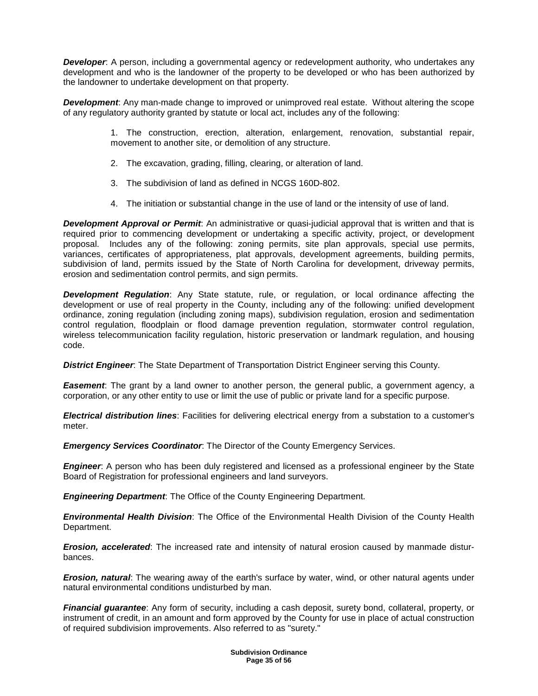**Developer:** A person, including a governmental agency or redevelopment authority, who undertakes any development and who is the landowner of the property to be developed or who has been authorized by the landowner to undertake development on that property.

**Development**: Any man-made change to improved or unimproved real estate. Without altering the scope of any regulatory authority granted by statute or local act, includes any of the following:

> 1. The construction, erection, alteration, enlargement, renovation, substantial repair, movement to another site, or demolition of any structure.

- 2. The excavation, grading, filling, clearing, or alteration of land.
- 3. The subdivision of land as defined in NCGS 160D-802.
- 4. The initiation or substantial change in the use of land or the intensity of use of land.

**Development Approval or Permit**: An administrative or quasi-judicial approval that is written and that is required prior to commencing development or undertaking a specific activity, project, or development proposal. Includes any of the following: zoning permits, site plan approvals, special use permits, variances, certificates of appropriateness, plat approvals, development agreements, building permits, subdivision of land, permits issued by the State of North Carolina for development, driveway permits, erosion and sedimentation control permits, and sign permits.

**Development Regulation**: Any State statute, rule, or regulation, or local ordinance affecting the development or use of real property in the County, including any of the following: unified development ordinance, zoning regulation (including zoning maps), subdivision regulation, erosion and sedimentation control regulation, floodplain or flood damage prevention regulation, stormwater control regulation, wireless telecommunication facility regulation, historic preservation or landmark regulation, and housing code.

**District Engineer**: The State Department of Transportation District Engineer serving this County.

**Easement**: The grant by a land owner to another person, the general public, a government agency, a corporation, or any other entity to use or limit the use of public or private land for a specific purpose.

**Electrical distribution lines**: Facilities for delivering electrical energy from a substation to a customer's meter.

**Emergency Services Coordinator**: The Director of the County Emergency Services.

**Engineer**: A person who has been duly registered and licensed as a professional engineer by the State Board of Registration for professional engineers and land surveyors.

**Engineering Department**: The Office of the County Engineering Department.

**Environmental Health Division**: The Office of the Environmental Health Division of the County Health Department.

**Erosion, accelerated**: The increased rate and intensity of natural erosion caused by manmade disturbances.

**Erosion, natural**: The wearing away of the earth's surface by water, wind, or other natural agents under natural environmental conditions undisturbed by man.

**Financial guarantee**: Any form of security, including a cash deposit, surety bond, collateral, property, or instrument of credit, in an amount and form approved by the County for use in place of actual construction of required subdivision improvements. Also referred to as "surety."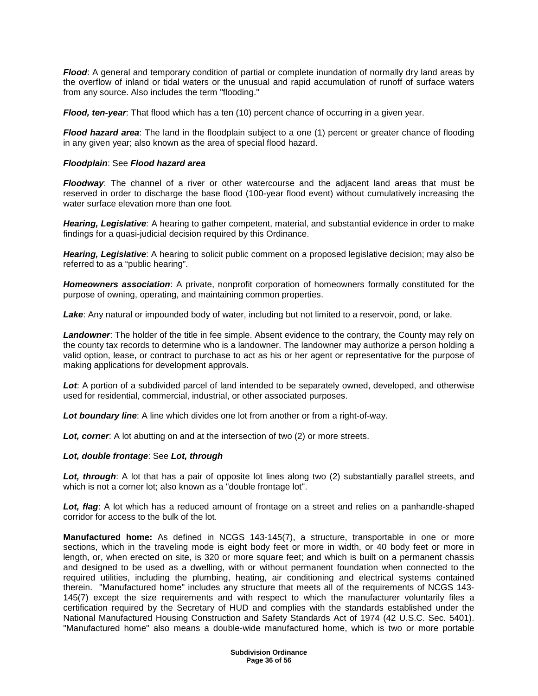**Flood**: A general and temporary condition of partial or complete inundation of normally dry land areas by the overflow of inland or tidal waters or the unusual and rapid accumulation of runoff of surface waters from any source. Also includes the term "flooding."

**Flood, ten-year**: That flood which has a ten (10) percent chance of occurring in a given year.

**Flood hazard area**: The land in the floodplain subject to a one (1) percent or greater chance of flooding in any given year; also known as the area of special flood hazard.

### **Floodplain**: See **Flood hazard area**

**Floodway**: The channel of a river or other watercourse and the adjacent land areas that must be reserved in order to discharge the base flood (100-year flood event) without cumulatively increasing the water surface elevation more than one foot.

**Hearing, Legislative**: A hearing to gather competent, material, and substantial evidence in order to make findings for a quasi-judicial decision required by this Ordinance.

**Hearing, Legislative**: A hearing to solicit public comment on a proposed legislative decision; may also be referred to as a "public hearing".

**Homeowners association**: A private, nonprofit corporation of homeowners formally constituted for the purpose of owning, operating, and maintaining common properties.

**Lake**: Any natural or impounded body of water, including but not limited to a reservoir, pond, or lake.

**Landowner**: The holder of the title in fee simple. Absent evidence to the contrary, the County may rely on the county tax records to determine who is a landowner. The landowner may authorize a person holding a valid option, lease, or contract to purchase to act as his or her agent or representative for the purpose of making applications for development approvals.

**Lot**: A portion of a subdivided parcel of land intended to be separately owned, developed, and otherwise used for residential, commercial, industrial, or other associated purposes.

**Lot boundary line**: A line which divides one lot from another or from a right-of-way.

**Lot, corner**: A lot abutting on and at the intersection of two (2) or more streets.

#### **Lot, double frontage**: See **Lot, through**

Lot, through: A lot that has a pair of opposite lot lines along two (2) substantially parallel streets, and which is not a corner lot; also known as a "double frontage lot".

Lot, flag: A lot which has a reduced amount of frontage on a street and relies on a panhandle-shaped corridor for access to the bulk of the lot.

**Manufactured home:** As defined in NCGS 143-145(7), a structure, transportable in one or more sections, which in the traveling mode is eight body feet or more in width, or 40 body feet or more in length, or, when erected on site, is 320 or more square feet; and which is built on a permanent chassis and designed to be used as a dwelling, with or without permanent foundation when connected to the required utilities, including the plumbing, heating, air conditioning and electrical systems contained therein. "Manufactured home" includes any structure that meets all of the requirements of NCGS 143- 145(7) except the size requirements and with respect to which the manufacturer voluntarily files a certification required by the Secretary of HUD and complies with the standards established under the National Manufactured Housing Construction and Safety Standards Act of 1974 (42 U.S.C. Sec. 5401). "Manufactured home" also means a double-wide manufactured home, which is two or more portable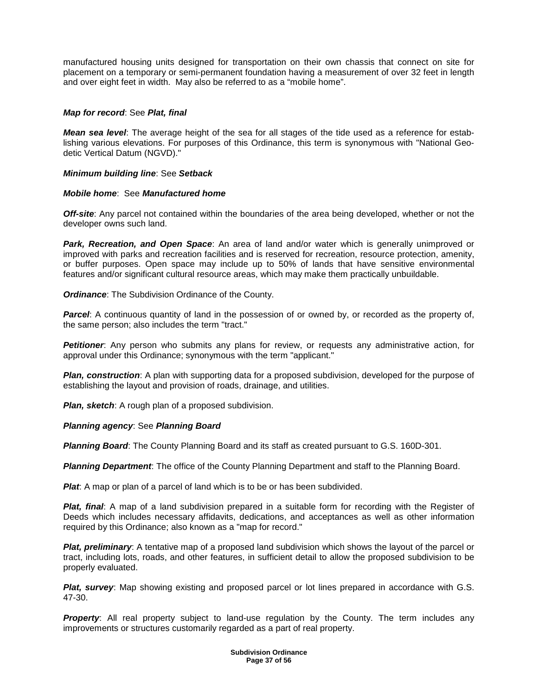manufactured housing units designed for transportation on their own chassis that connect on site for placement on a temporary or semi-permanent foundation having a measurement of over 32 feet in length and over eight feet in width. May also be referred to as a "mobile home".

## **Map for record**: See **Plat, final**

**Mean sea level**: The average height of the sea for all stages of the tide used as a reference for establishing various elevations. For purposes of this Ordinance, this term is synonymous with "National Geodetic Vertical Datum (NGVD)."

## **Minimum building line**: See **Setback**

# **Mobile home**: See **Manufactured home**

**Off-site**: Any parcel not contained within the boundaries of the area being developed, whether or not the developer owns such land.

**Park, Recreation, and Open Space**: An area of land and/or water which is generally unimproved or improved with parks and recreation facilities and is reserved for recreation, resource protection, amenity, or buffer purposes. Open space may include up to 50% of lands that have sensitive environmental features and/or significant cultural resource areas, which may make them practically unbuildable.

**Ordinance**: The Subdivision Ordinance of the County.

**Parcel:** A continuous quantity of land in the possession of or owned by, or recorded as the property of, the same person; also includes the term "tract."

**Petitioner**: Any person who submits any plans for review, or requests any administrative action, for approval under this Ordinance; synonymous with the term "applicant."

**Plan, construction**: A plan with supporting data for a proposed subdivision, developed for the purpose of establishing the layout and provision of roads, drainage, and utilities.

**Plan, sketch**: A rough plan of a proposed subdivision.

## **Planning agency**: See **Planning Board**

**Planning Board**: The County Planning Board and its staff as created pursuant to G.S. 160D-301.

**Planning Department**: The office of the County Planning Department and staff to the Planning Board.

**Plat**: A map or plan of a parcel of land which is to be or has been subdivided.

**Plat, final**: A map of a land subdivision prepared in a suitable form for recording with the Register of Deeds which includes necessary affidavits, dedications, and acceptances as well as other information required by this Ordinance; also known as a "map for record."

**Plat, preliminary**: A tentative map of a proposed land subdivision which shows the layout of the parcel or tract, including lots, roads, and other features, in sufficient detail to allow the proposed subdivision to be properly evaluated.

**Plat, survey**: Map showing existing and proposed parcel or lot lines prepared in accordance with G.S. 47-30.

**Property**: All real property subject to land-use regulation by the County. The term includes any improvements or structures customarily regarded as a part of real property.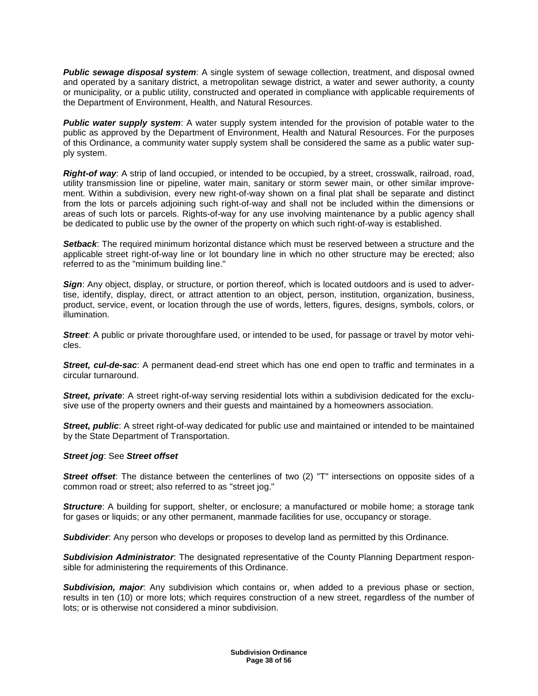**Public sewage disposal system**: A single system of sewage collection, treatment, and disposal owned and operated by a sanitary district, a metropolitan sewage district, a water and sewer authority, a county or municipality, or a public utility, constructed and operated in compliance with applicable requirements of the Department of Environment, Health, and Natural Resources.

**Public water supply system**: A water supply system intended for the provision of potable water to the public as approved by the Department of Environment, Health and Natural Resources. For the purposes of this Ordinance, a community water supply system shall be considered the same as a public water supply system.

**Right-of way**: A strip of land occupied, or intended to be occupied, by a street, crosswalk, railroad, road, utility transmission line or pipeline, water main, sanitary or storm sewer main, or other similar improvement. Within a subdivision, every new right-of-way shown on a final plat shall be separate and distinct from the lots or parcels adjoining such right-of-way and shall not be included within the dimensions or areas of such lots or parcels. Rights-of-way for any use involving maintenance by a public agency shall be dedicated to public use by the owner of the property on which such right-of-way is established.

**Setback**: The required minimum horizontal distance which must be reserved between a structure and the applicable street right-of-way line or lot boundary line in which no other structure may be erected; also referred to as the "minimum building line."

**Sign**: Any object, display, or structure, or portion thereof, which is located outdoors and is used to advertise, identify, display, direct, or attract attention to an object, person, institution, organization, business, product, service, event, or location through the use of words, letters, figures, designs, symbols, colors, or illumination.

**Street:** A public or private thoroughfare used, or intended to be used, for passage or travel by motor vehicles.

**Street, cul-de-sac**: A permanent dead-end street which has one end open to traffic and terminates in a circular turnaround.

**Street, private**: A street right-of-way serving residential lots within a subdivision dedicated for the exclusive use of the property owners and their guests and maintained by a homeowners association.

**Street, public**: A street right-of-way dedicated for public use and maintained or intended to be maintained by the State Department of Transportation.

## **Street jog**: See **Street offset**

**Street offset**: The distance between the centerlines of two (2) "T" intersections on opposite sides of a common road or street; also referred to as "street jog."

**Structure**: A building for support, shelter, or enclosure; a manufactured or mobile home; a storage tank for gases or liquids; or any other permanent, manmade facilities for use, occupancy or storage.

**Subdivider**: Any person who develops or proposes to develop land as permitted by this Ordinance.

**Subdivision Administrator**: The designated representative of the County Planning Department responsible for administering the requirements of this Ordinance.

**Subdivision, major**: Any subdivision which contains or, when added to a previous phase or section, results in ten (10) or more lots; which requires construction of a new street, regardless of the number of lots; or is otherwise not considered a minor subdivision.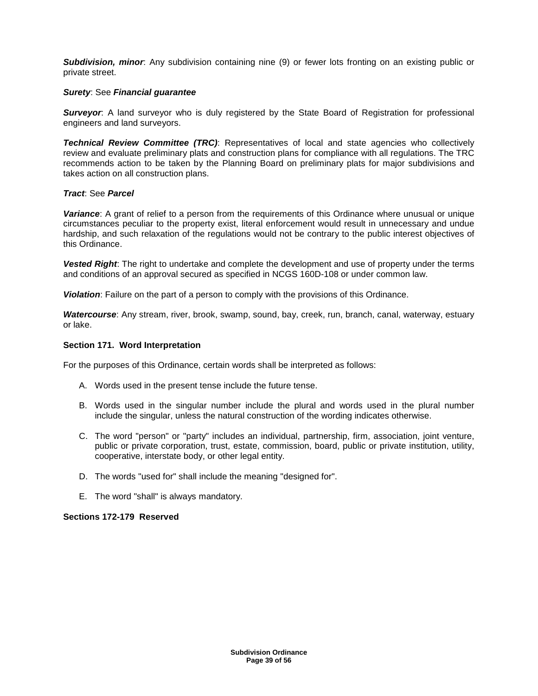**Subdivision, minor**: Any subdivision containing nine (9) or fewer lots fronting on an existing public or private street.

## **Surety**: See **Financial guarantee**

**Surveyor:** A land surveyor who is duly registered by the State Board of Registration for professional engineers and land surveyors.

**Technical Review Committee (TRC)**: Representatives of local and state agencies who collectively review and evaluate preliminary plats and construction plans for compliance with all regulations. The TRC recommends action to be taken by the Planning Board on preliminary plats for major subdivisions and takes action on all construction plans.

## **Tract**: See **Parcel**

**Variance**: A grant of relief to a person from the requirements of this Ordinance where unusual or unique circumstances peculiar to the property exist, literal enforcement would result in unnecessary and undue hardship, and such relaxation of the regulations would not be contrary to the public interest objectives of this Ordinance.

**Vested Right**: The right to undertake and complete the development and use of property under the terms and conditions of an approval secured as specified in NCGS 160D-108 or under common law.

**Violation**: Failure on the part of a person to comply with the provisions of this Ordinance.

**Watercourse**: Any stream, river, brook, swamp, sound, bay, creek, run, branch, canal, waterway, estuary or lake.

## **Section 171. Word Interpretation**

For the purposes of this Ordinance, certain words shall be interpreted as follows:

- A. Words used in the present tense include the future tense.
- B. Words used in the singular number include the plural and words used in the plural number include the singular, unless the natural construction of the wording indicates otherwise.
- C. The word "person" or "party" includes an individual, partnership, firm, association, joint venture, public or private corporation, trust, estate, commission, board, public or private institution, utility, cooperative, interstate body, or other legal entity.
- D. The words "used for" shall include the meaning "designed for".
- E. The word "shall" is always mandatory.

## **Sections 172-179 Reserved**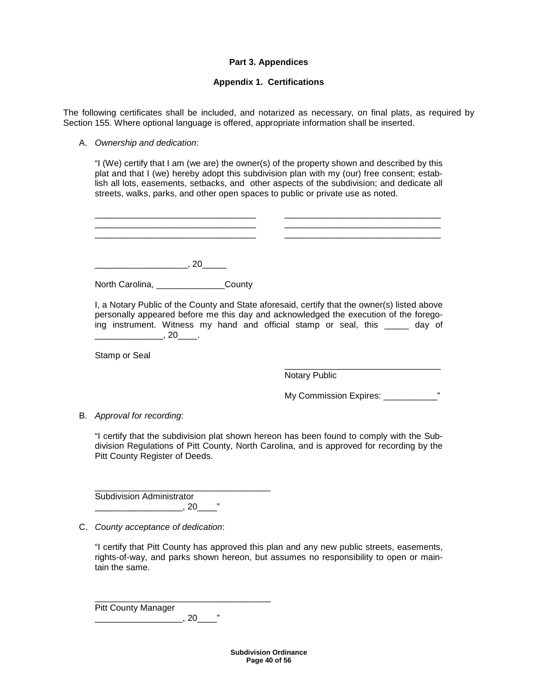## **Part 3. Appendices**

# **Appendix 1. Certifications**

The following certificates shall be included, and notarized as necessary, on final plats, as required by Section 155. Where optional language is offered, appropriate information shall be inserted.

### A. Ownership and dedication:

"I (We) certify that I am (we are) the owner(s) of the property shown and described by this plat and that I (we) hereby adopt this subdivision plan with my (our) free consent; establish all lots, easements, setbacks, and other aspects of the subdivision; and dedicate all streets, walks, parks, and other open spaces to public or private use as noted.

\_\_\_\_\_\_\_\_\_\_\_\_\_\_\_\_\_\_\_\_\_\_\_\_\_\_\_\_\_\_\_\_\_ \_\_\_\_\_\_\_\_\_\_\_\_\_\_\_\_\_\_\_\_\_\_\_\_\_\_\_\_\_\_\_\_ \_\_\_\_\_\_\_\_\_\_\_\_\_\_\_\_\_\_\_\_\_\_\_\_\_\_\_\_\_\_\_\_\_ \_\_\_\_\_\_\_\_\_\_\_\_\_\_\_\_\_\_\_\_\_\_\_\_\_\_\_\_\_\_\_\_  $\frac{1}{2}$  , and the set of the set of the set of the set of the set of the set of the set of the set of the set of the set of the set of the set of the set of the set of the set of the set of the set of the set of the set \_\_\_\_\_\_\_\_\_\_\_\_\_\_\_\_\_\_\_, 20\_\_\_\_\_ North Carolina, \_\_\_\_\_\_\_\_\_\_\_\_\_\_\_\_County I, a Notary Public of the County and State aforesaid, certify that the owner(s) listed above personally appeared before me this day and acknowledged the execution of the foregoing instrument. Witness my hand and official stamp or seal, this a day of \_\_\_\_\_\_\_\_\_\_\_\_\_\_, 20\_\_\_\_.

Stamp or Seal

 \_\_\_\_\_\_\_\_\_\_\_\_\_\_\_\_\_\_\_\_\_\_\_\_\_\_\_\_\_\_\_\_ Notary Public

My Commission Expires: \_\_\_\_\_\_\_\_\_\_\_\_\_\_"

B. Approval for recording:

"I certify that the subdivision plat shown hereon has been found to comply with the Subdivision Regulations of Pitt County, North Carolina, and is approved for recording by the Pitt County Register of Deeds.

Subdivision Administrator \_\_\_\_\_\_\_\_\_\_\_\_\_\_\_\_\_\_, 20\_\_\_\_"

\_\_\_\_\_\_\_\_\_\_\_\_\_\_\_\_\_\_\_\_\_\_\_\_\_\_\_\_\_\_\_\_\_\_\_\_

\_\_\_\_\_\_\_\_\_\_\_\_\_\_\_\_\_\_\_\_\_\_\_\_\_\_\_\_\_\_\_\_\_\_\_\_

C. County acceptance of dedication:

"I certify that Pitt County has approved this plan and any new public streets, easements, rights-of-way, and parks shown hereon, but assumes no responsibility to open or maintain the same.

Pitt County Manager \_\_\_\_\_\_\_\_\_\_\_\_\_\_\_\_\_\_, 20\_\_\_\_"

> **Subdivision Ordinance Page 40 of 56**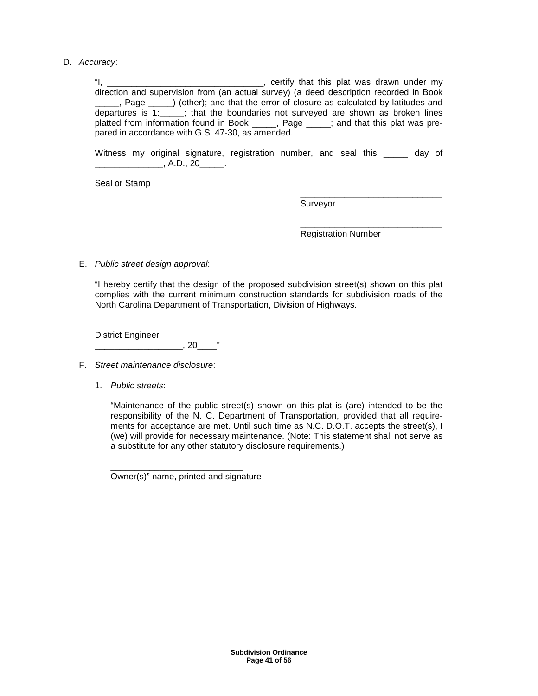D. Accuracy:

"I, \_\_\_\_\_\_\_\_\_\_\_\_\_\_\_\_\_\_\_\_\_\_\_\_\_\_\_\_\_\_\_\_, certify that this plat was drawn under my direction and supervision from (an actual survey) (a deed description recorded in Book \_\_\_\_\_, Page \_\_\_\_) (other); and that the error of closure as calculated by latitudes and departures is 1:\_\_\_\_\_; that the boundaries not surveyed are shown as broken lines platted from information found in Book \_\_\_\_\_, Page \_\_\_\_\_; and that this plat was prepared in accordance with G.S. 47-30, as amended.

Witness my original signature, registration number, and seal this \_\_\_\_\_ day of \_\_\_\_\_\_\_\_\_\_\_\_\_\_, A.D., 20\_\_\_\_\_.

 $\frac{1}{2}$  , and the set of the set of the set of the set of the set of the set of the set of the set of the set of the set of the set of the set of the set of the set of the set of the set of the set of the set of the set

Seal or Stamp

 \_\_\_\_\_\_\_\_\_\_\_\_\_\_\_\_\_\_\_\_\_\_\_\_\_\_\_\_\_ Surveyor

Registration Number

E. Public street design approval:

"I hereby certify that the design of the proposed subdivision street(s) shown on this plat complies with the current minimum construction standards for subdivision roads of the North Carolina Department of Transportation, Division of Highways.

\_\_\_\_\_\_\_\_\_\_\_\_\_\_\_\_\_\_\_\_\_\_\_\_\_\_\_\_\_\_\_\_\_\_\_\_ District Engineer \_\_\_\_\_\_\_\_\_\_\_\_\_\_\_\_\_\_, 20\_\_\_\_"

- F. Street maintenance disclosure:
	- 1. Public streets:

"Maintenance of the public street(s) shown on this plat is (are) intended to be the responsibility of the N. C. Department of Transportation, provided that all requirements for acceptance are met. Until such time as N.C. D.O.T. accepts the street(s), I (we) will provide for necessary maintenance. (Note: This statement shall not serve as a substitute for any other statutory disclosure requirements.)

Owner(s)" name, printed and signature

\_\_\_\_\_\_\_\_\_\_\_\_\_\_\_\_\_\_\_\_\_\_\_\_\_\_\_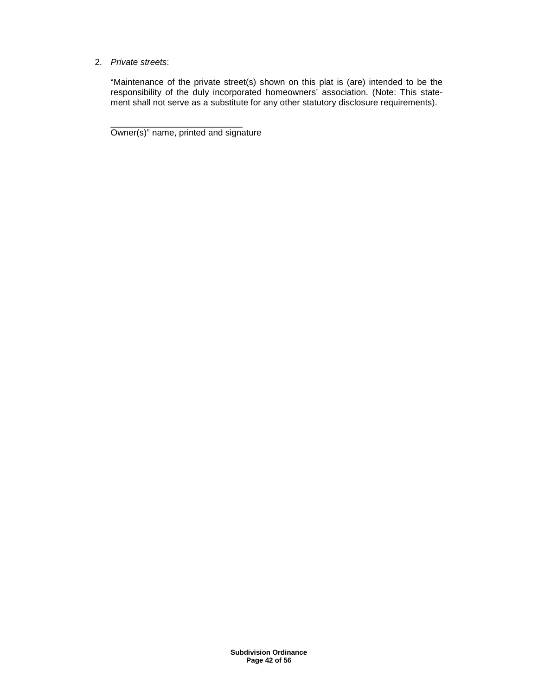## 2. Private streets:

"Maintenance of the private street(s) shown on this plat is (are) intended to be the responsibility of the duly incorporated homeowners' association. (Note: This statement shall not serve as a substitute for any other statutory disclosure requirements).

Owner(s)" name, printed and signature

\_\_\_\_\_\_\_\_\_\_\_\_\_\_\_\_\_\_\_\_\_\_\_\_\_\_\_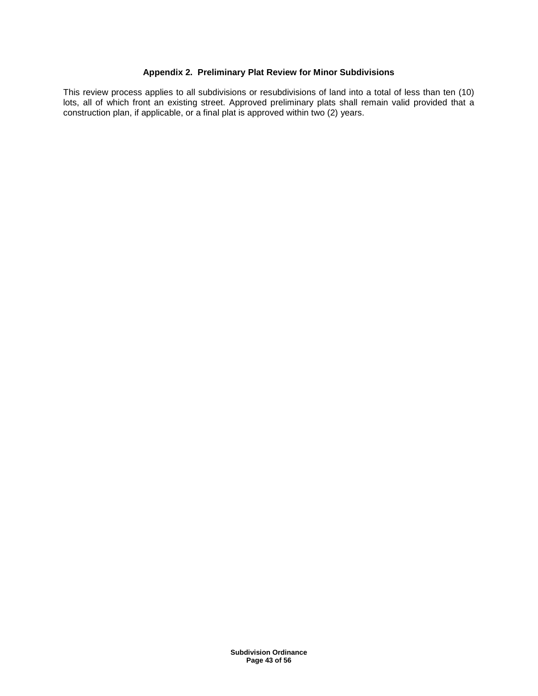## **Appendix 2. Preliminary Plat Review for Minor Subdivisions**

This review process applies to all subdivisions or resubdivisions of land into a total of less than ten (10) lots, all of which front an existing street. Approved preliminary plats shall remain valid provided that a construction plan, if applicable, or a final plat is approved within two (2) years.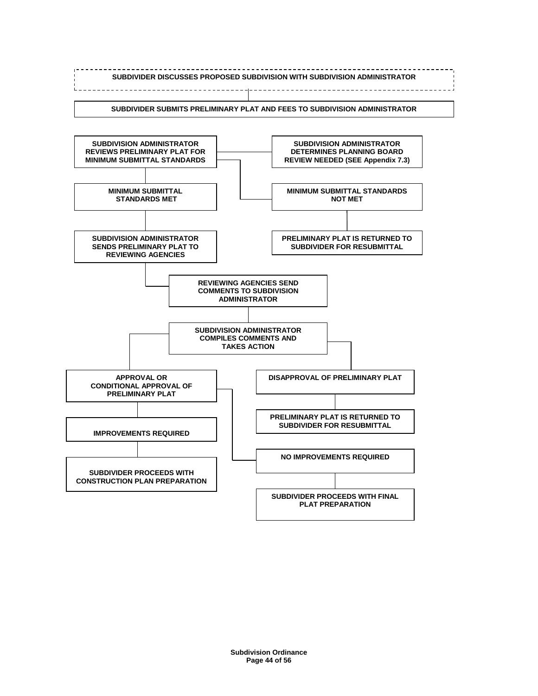

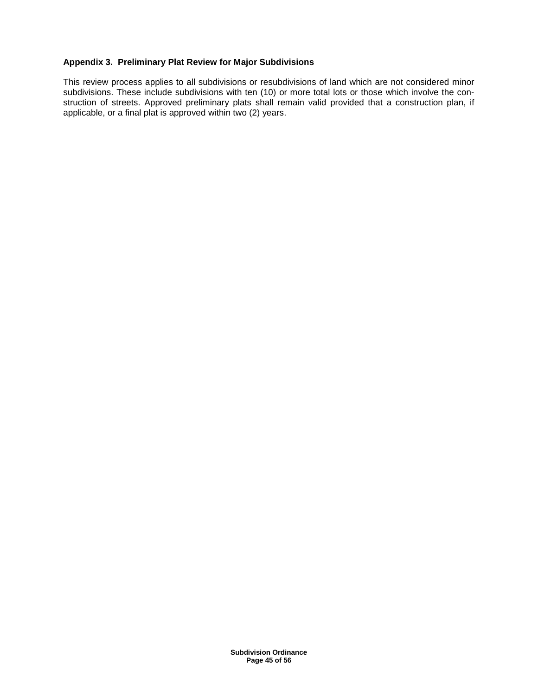## **Appendix 3. Preliminary Plat Review for Major Subdivisions**

This review process applies to all subdivisions or resubdivisions of land which are not considered minor subdivisions. These include subdivisions with ten (10) or more total lots or those which involve the construction of streets. Approved preliminary plats shall remain valid provided that a construction plan, if applicable, or a final plat is approved within two (2) years.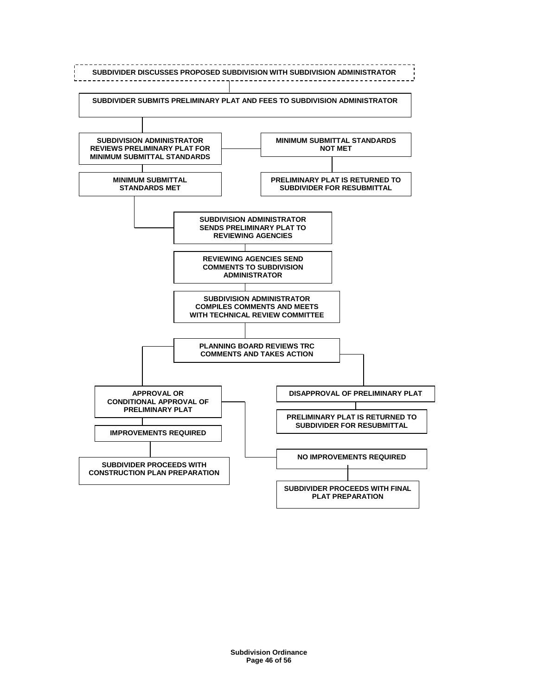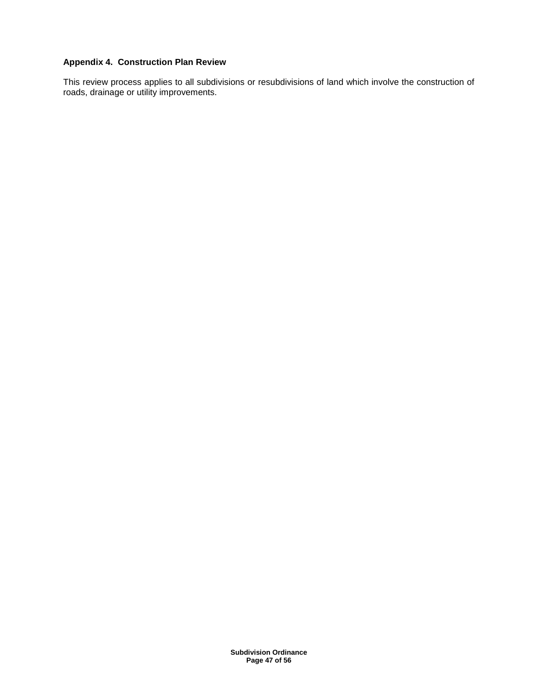# **Appendix 4. Construction Plan Review**

This review process applies to all subdivisions or resubdivisions of land which involve the construction of roads, drainage or utility improvements.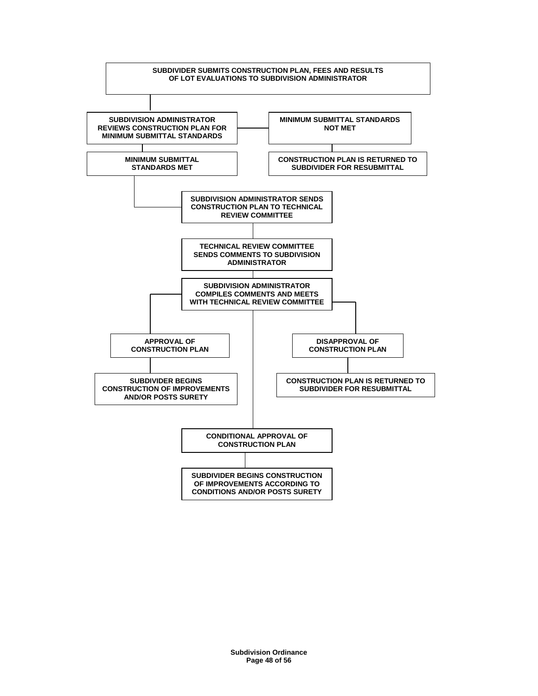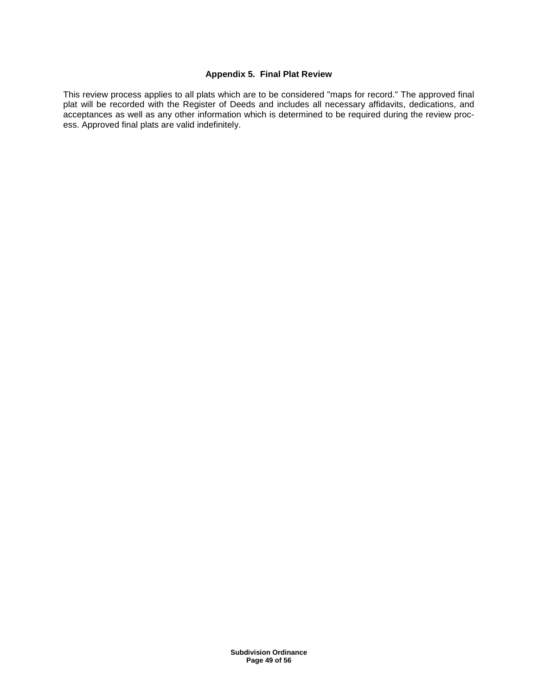# **Appendix 5. Final Plat Review**

This review process applies to all plats which are to be considered "maps for record." The approved final plat will be recorded with the Register of Deeds and includes all necessary affidavits, dedications, and acceptances as well as any other information which is determined to be required during the review process. Approved final plats are valid indefinitely.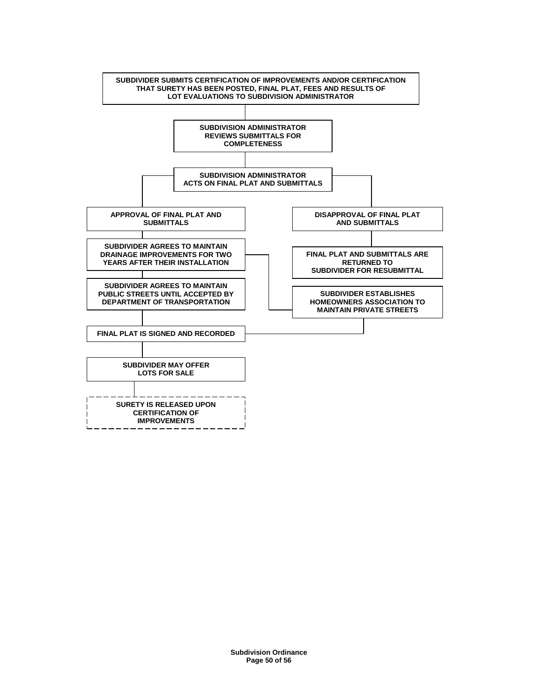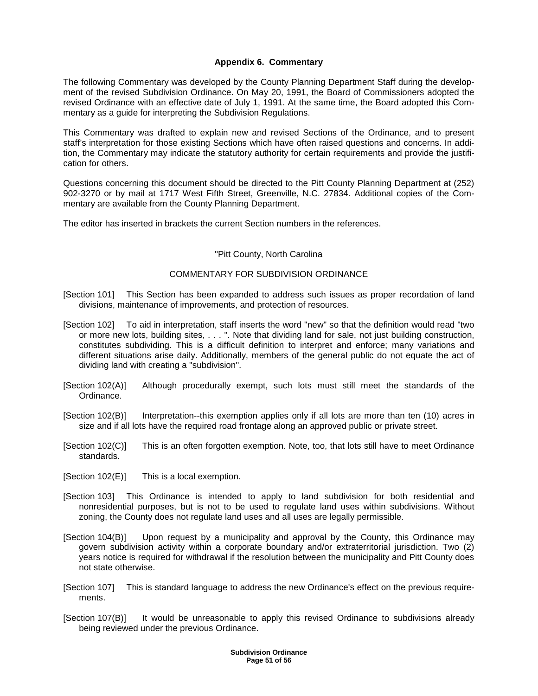# **Appendix 6. Commentary**

The following Commentary was developed by the County Planning Department Staff during the development of the revised Subdivision Ordinance. On May 20, 1991, the Board of Commissioners adopted the revised Ordinance with an effective date of July 1, 1991. At the same time, the Board adopted this Commentary as a guide for interpreting the Subdivision Regulations.

This Commentary was drafted to explain new and revised Sections of the Ordinance, and to present staff's interpretation for those existing Sections which have often raised questions and concerns. In addition, the Commentary may indicate the statutory authority for certain requirements and provide the justification for others.

Questions concerning this document should be directed to the Pitt County Planning Department at (252) 902-3270 or by mail at 1717 West Fifth Street, Greenville, N.C. 27834. Additional copies of the Commentary are available from the County Planning Department.

The editor has inserted in brackets the current Section numbers in the references.

#### "Pitt County, North Carolina

## COMMENTARY FOR SUBDIVISION ORDINANCE

- [Section 101] This Section has been expanded to address such issues as proper recordation of land divisions, maintenance of improvements, and protection of resources.
- [Section 102] To aid in interpretation, staff inserts the word "new" so that the definition would read "two or more new lots, building sites, . . . ". Note that dividing land for sale, not just building construction, constitutes subdividing. This is a difficult definition to interpret and enforce; many variations and different situations arise daily. Additionally, members of the general public do not equate the act of dividing land with creating a "subdivision".
- [Section 102(A)] Although procedurally exempt, such lots must still meet the standards of the Ordinance.
- [Section 102(B)] Interpretation--this exemption applies only if all lots are more than ten (10) acres in size and if all lots have the required road frontage along an approved public or private street.
- [Section 102(C)] This is an often forgotten exemption. Note, too, that lots still have to meet Ordinance standards.
- [Section 102(E)] This is a local exemption.
- [Section 103] This Ordinance is intended to apply to land subdivision for both residential and nonresidential purposes, but is not to be used to regulate land uses within subdivisions. Without zoning, the County does not regulate land uses and all uses are legally permissible.
- [Section 104(B)] Upon request by a municipality and approval by the County, this Ordinance may govern subdivision activity within a corporate boundary and/or extraterritorial jurisdiction. Two (2) years notice is required for withdrawal if the resolution between the municipality and Pitt County does not state otherwise.
- [Section 107] This is standard language to address the new Ordinance's effect on the previous requirements.
- [Section 107(B)] It would be unreasonable to apply this revised Ordinance to subdivisions already being reviewed under the previous Ordinance.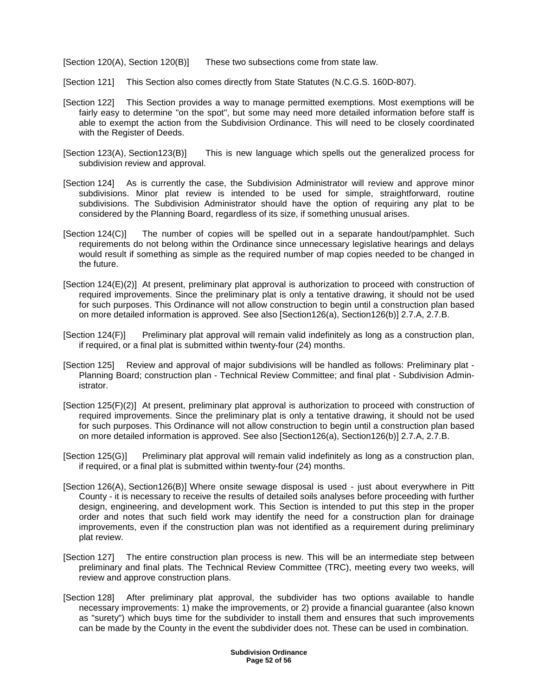[Section 120(A), Section 120(B)] These two subsections come from state law.

- [Section 121] This Section also comes directly from State Statutes (N.C.G.S. 160D-807).
- [Section 122] This Section provides a way to manage permitted exemptions. Most exemptions will be fairly easy to determine "on the spot", but some may need more detailed information before staff is able to exempt the action from the Subdivision Ordinance. This will need to be closely coordinated with the Register of Deeds.
- [Section 123(A), Section123(B)] This is new language which spells out the generalized process for subdivision review and approval.
- [Section 124] As is currently the case, the Subdivision Administrator will review and approve minor subdivisions. Minor plat review is intended to be used for simple, straightforward, routine subdivisions. The Subdivision Administrator should have the option of requiring any plat to be considered by the Planning Board, regardless of its size, if something unusual arises.
- [Section 124(C)] The number of copies will be spelled out in a separate handout/pamphlet. Such requirements do not belong within the Ordinance since unnecessary legislative hearings and delays would result if something as simple as the required number of map copies needed to be changed in the future.
- [Section 124(E)(2)] At present, preliminary plat approval is authorization to proceed with construction of required improvements. Since the preliminary plat is only a tentative drawing, it should not be used for such purposes. This Ordinance will not allow construction to begin until a construction plan based on more detailed information is approved. See also [Section126(a), Section126(b)] 2.7.A, 2.7.B.
- [Section 124(F)] Preliminary plat approval will remain valid indefinitely as long as a construction plan, if required, or a final plat is submitted within twenty-four (24) months.
- [Section 125] Review and approval of major subdivisions will be handled as follows: Preliminary plat Planning Board; construction plan - Technical Review Committee; and final plat - Subdivision Administrator.
- [Section 125(F)(2)] At present, preliminary plat approval is authorization to proceed with construction of required improvements. Since the preliminary plat is only a tentative drawing, it should not be used for such purposes. This Ordinance will not allow construction to begin until a construction plan based on more detailed information is approved. See also [Section126(a), Section126(b)] 2.7.A, 2.7.B.
- [Section 125(G)] Preliminary plat approval will remain valid indefinitely as long as a construction plan, if required, or a final plat is submitted within twenty-four (24) months.
- [Section 126(A), Section126(B)] Where onsite sewage disposal is used just about everywhere in Pitt County - it is necessary to receive the results of detailed soils analyses before proceeding with further design, engineering, and development work. This Section is intended to put this step in the proper order and notes that such field work may identify the need for a construction plan for drainage improvements, even if the construction plan was not identified as a requirement during preliminary plat review.
- [Section 127] The entire construction plan process is new. This will be an intermediate step between preliminary and final plats. The Technical Review Committee (TRC), meeting every two weeks, will review and approve construction plans.
- [Section 128] After preliminary plat approval, the subdivider has two options available to handle necessary improvements: 1) make the improvements, or 2) provide a financial guarantee (also known as "surety") which buys time for the subdivider to install them and ensures that such improvements can be made by the County in the event the subdivider does not. These can be used in combination.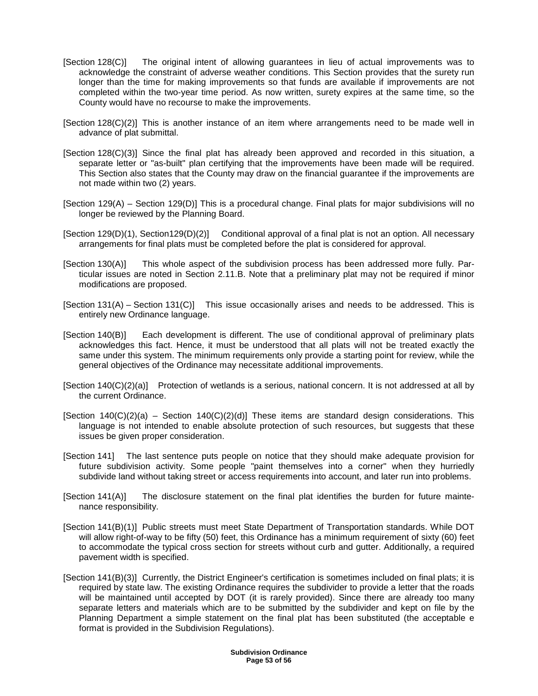- [Section 128(C)] The original intent of allowing guarantees in lieu of actual improvements was to acknowledge the constraint of adverse weather conditions. This Section provides that the surety run longer than the time for making improvements so that funds are available if improvements are not completed within the two-year time period. As now written, surety expires at the same time, so the County would have no recourse to make the improvements.
- [Section 128(C)(2)] This is another instance of an item where arrangements need to be made well in advance of plat submittal.
- [Section 128(C)(3)] Since the final plat has already been approved and recorded in this situation, a separate letter or "as-built" plan certifying that the improvements have been made will be required. This Section also states that the County may draw on the financial guarantee if the improvements are not made within two (2) years.
- [Section 129(A) Section 129(D)] This is a procedural change. Final plats for major subdivisions will no longer be reviewed by the Planning Board.
- [Section 129(D)(1), Section129(D)(2)] Conditional approval of a final plat is not an option. All necessary arrangements for final plats must be completed before the plat is considered for approval.
- [Section 130(A)] This whole aspect of the subdivision process has been addressed more fully. Particular issues are noted in Section 2.11.B. Note that a preliminary plat may not be required if minor modifications are proposed.
- [Section 131(A) Section 131(C)] This issue occasionally arises and needs to be addressed. This is entirely new Ordinance language.
- [Section 140(B)] Each development is different. The use of conditional approval of preliminary plats acknowledges this fact. Hence, it must be understood that all plats will not be treated exactly the same under this system. The minimum requirements only provide a starting point for review, while the general objectives of the Ordinance may necessitate additional improvements.
- [Section 140(C)(2)(a)] Protection of wetlands is a serious, national concern. It is not addressed at all by the current Ordinance.
- [Section 140(C)(2)(a) Section 140(C)(2)(d)] These items are standard design considerations. This language is not intended to enable absolute protection of such resources, but suggests that these issues be given proper consideration.
- [Section 141] The last sentence puts people on notice that they should make adequate provision for future subdivision activity. Some people "paint themselves into a corner" when they hurriedly subdivide land without taking street or access requirements into account, and later run into problems.
- [Section 141(A)] The disclosure statement on the final plat identifies the burden for future maintenance responsibility.
- [Section 141(B)(1)] Public streets must meet State Department of Transportation standards. While DOT will allow right-of-way to be fifty (50) feet, this Ordinance has a minimum requirement of sixty (60) feet to accommodate the typical cross section for streets without curb and gutter. Additionally, a required pavement width is specified.
- [Section 141(B)(3)] Currently, the District Engineer's certification is sometimes included on final plats; it is required by state law. The existing Ordinance requires the subdivider to provide a letter that the roads will be maintained until accepted by DOT (it is rarely provided). Since there are already too many separate letters and materials which are to be submitted by the subdivider and kept on file by the Planning Department a simple statement on the final plat has been substituted (the acceptable e format is provided in the Subdivision Regulations).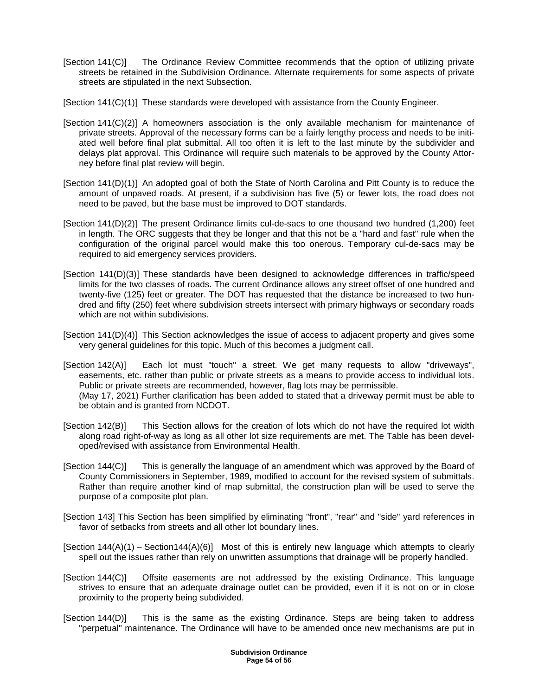- [Section 141(C)] The Ordinance Review Committee recommends that the option of utilizing private streets be retained in the Subdivision Ordinance. Alternate requirements for some aspects of private streets are stipulated in the next Subsection.
- [Section 141(C)(1)] These standards were developed with assistance from the County Engineer.
- [Section 141(C)(2)] A homeowners association is the only available mechanism for maintenance of private streets. Approval of the necessary forms can be a fairly lengthy process and needs to be initiated well before final plat submittal. All too often it is left to the last minute by the subdivider and delays plat approval. This Ordinance will require such materials to be approved by the County Attorney before final plat review will begin.
- [Section 141(D)(1)] An adopted goal of both the State of North Carolina and Pitt County is to reduce the amount of unpaved roads. At present, if a subdivision has five (5) or fewer lots, the road does not need to be paved, but the base must be improved to DOT standards.
- [Section 141(D)(2)] The present Ordinance limits cul-de-sacs to one thousand two hundred (1,200) feet in length. The ORC suggests that they be longer and that this not be a "hard and fast" rule when the configuration of the original parcel would make this too onerous. Temporary cul-de-sacs may be required to aid emergency services providers.
- [Section 141(D)(3)] These standards have been designed to acknowledge differences in traffic/speed limits for the two classes of roads. The current Ordinance allows any street offset of one hundred and twenty-five (125) feet or greater. The DOT has requested that the distance be increased to two hundred and fifty (250) feet where subdivision streets intersect with primary highways or secondary roads which are not within subdivisions.
- [Section 141(D)(4)] This Section acknowledges the issue of access to adjacent property and gives some very general guidelines for this topic. Much of this becomes a judgment call.
- [Section 142(A)] Each lot must "touch" a street. We get many requests to allow "driveways", easements, etc. rather than public or private streets as a means to provide access to individual lots. Public or private streets are recommended, however, flag lots may be permissible. (May 17, 2021) Further clarification has been added to stated that a driveway permit must be able to be obtain and is granted from NCDOT.
- [Section 142(B)] This Section allows for the creation of lots which do not have the required lot width along road right-of-way as long as all other lot size requirements are met. The Table has been developed/revised with assistance from Environmental Health.
- [Section 144(C)] This is generally the language of an amendment which was approved by the Board of County Commissioners in September, 1989, modified to account for the revised system of submittals. Rather than require another kind of map submittal, the construction plan will be used to serve the purpose of a composite plot plan.
- [Section 143] This Section has been simplified by eliminating "front", "rear" and "side" yard references in favor of setbacks from streets and all other lot boundary lines.
- $[Section 144(A)(1) Section 144(A)(6)]$  Most of this is entirely new language which attempts to clearly spell out the issues rather than rely on unwritten assumptions that drainage will be properly handled.
- [Section 144(C)] Offsite easements are not addressed by the existing Ordinance. This language strives to ensure that an adequate drainage outlet can be provided, even if it is not on or in close proximity to the property being subdivided.
- [Section 144(D)] This is the same as the existing Ordinance. Steps are being taken to address "perpetual" maintenance. The Ordinance will have to be amended once new mechanisms are put in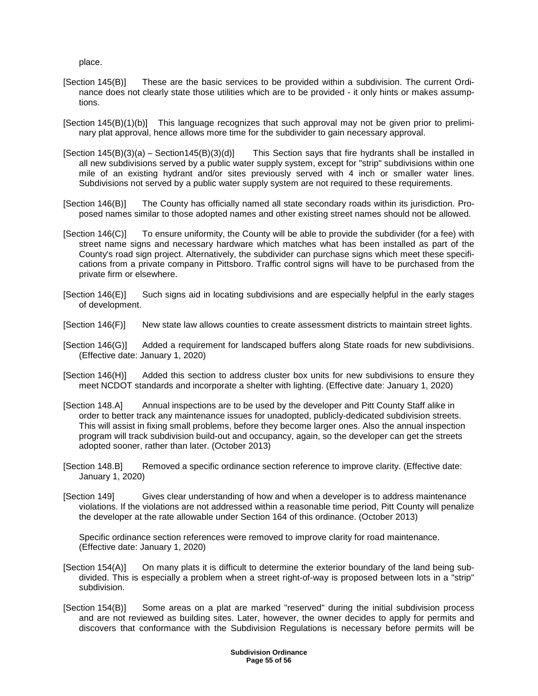place.

- [Section 145(B)] These are the basic services to be provided within a subdivision. The current Ordinance does not clearly state those utilities which are to be provided - it only hints or makes assumptions.
- [Section 145(B)(1)(b)] This language recognizes that such approval may not be given prior to preliminary plat approval, hence allows more time for the subdivider to gain necessary approval.
- $[Section 145(B)(3)(a) Section 145(B)(3)(d)]$  This Section says that fire hydrants shall be installed in all new subdivisions served by a public water supply system, except for "strip" subdivisions within one mile of an existing hydrant and/or sites previously served with 4 inch or smaller water lines. Subdivisions not served by a public water supply system are not required to these requirements.
- [Section 146(B)] The County has officially named all state secondary roads within its jurisdiction. Proposed names similar to those adopted names and other existing street names should not be allowed.
- [Section 146(C)] To ensure uniformity, the County will be able to provide the subdivider (for a fee) with street name signs and necessary hardware which matches what has been installed as part of the County's road sign project. Alternatively, the subdivider can purchase signs which meet these specifications from a private company in Pittsboro. Traffic control signs will have to be purchased from the private firm or elsewhere.
- [Section 146(E)] Such signs aid in locating subdivisions and are especially helpful in the early stages of development.
- [Section 146(F)] New state law allows counties to create assessment districts to maintain street lights.
- [Section 146(G)] Added a requirement for landscaped buffers along State roads for new subdivisions. (Effective date: January 1, 2020)
- [Section 146(H)] Added this section to address cluster box units for new subdivisions to ensure they meet NCDOT standards and incorporate a shelter with lighting. (Effective date: January 1, 2020)
- [Section 148.A] Annual inspections are to be used by the developer and Pitt County Staff alike in order to better track any maintenance issues for unadopted, publicly-dedicated subdivision streets. This will assist in fixing small problems, before they become larger ones. Also the annual inspection program will track subdivision build-out and occupancy, again, so the developer can get the streets adopted sooner, rather than later. (October 2013)
- [Section 148.B] Removed a specific ordinance section reference to improve clarity. (Effective date: January 1, 2020)
- [Section 149] Gives clear understanding of how and when a developer is to address maintenance violations. If the violations are not addressed within a reasonable time period, Pitt County will penalize the developer at the rate allowable under Section 164 of this ordinance. (October 2013)

 Specific ordinance section references were removed to improve clarity for road maintenance. (Effective date: January 1, 2020)

- [Section 154(A)] On many plats it is difficult to determine the exterior boundary of the land being subdivided. This is especially a problem when a street right-of-way is proposed between lots in a "strip" subdivision.
- [Section 154(B)] Some areas on a plat are marked "reserved" during the initial subdivision process and are not reviewed as building sites. Later, however, the owner decides to apply for permits and discovers that conformance with the Subdivision Regulations is necessary before permits will be